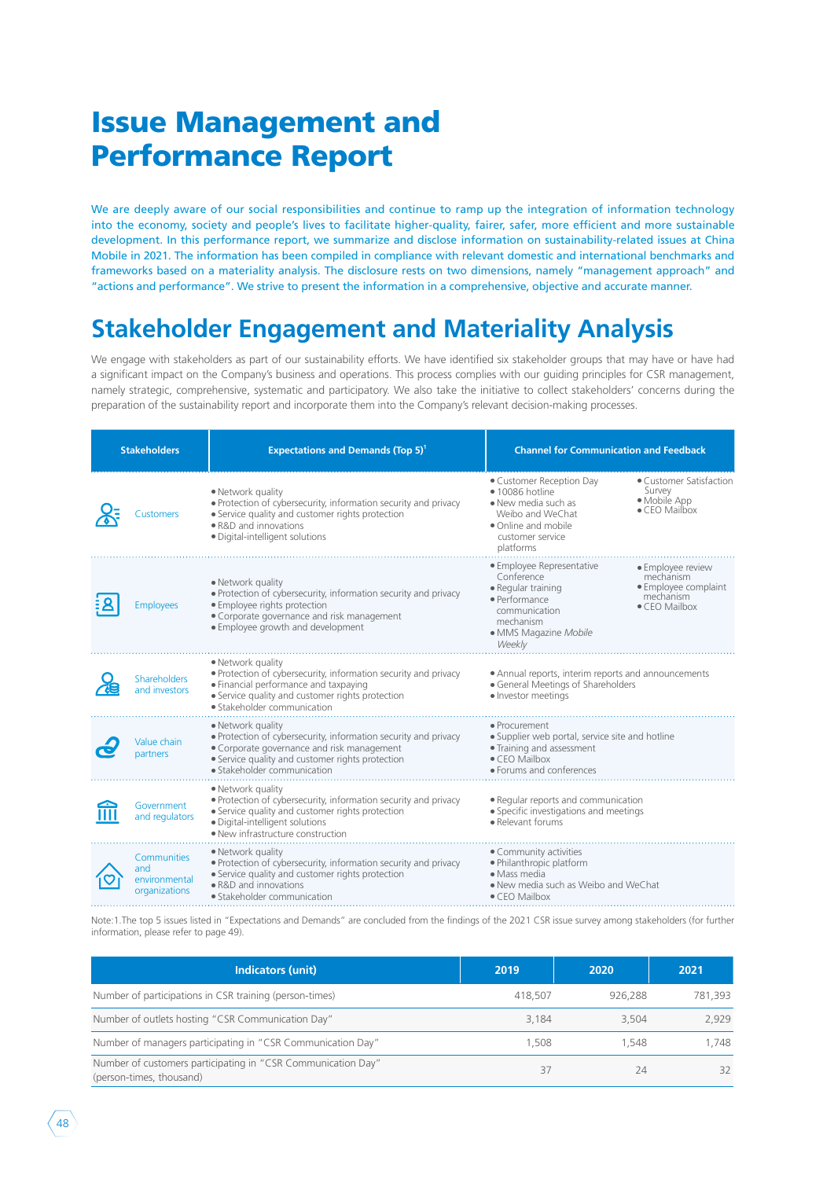# Issue Management and Performance Report

We are deeply aware of our social responsibilities and continue to ramp up the integration of information technology into the economy, society and people's lives to facilitate higher-quality, fairer, safer, more efficient and more sustainable development. In this performance report, we summarize and disclose information on sustainability-related issues at China Mobile in 2021. The information has been compiled in compliance with relevant domestic and international benchmarks and frameworks based on a materiality analysis. The disclosure rests on two dimensions, namely "management approach" and "actions and performance". We strive to present the information in a comprehensive, objective and accurate manner.

## **Stakeholder Engagement and Materiality Analysis**

We engage with stakeholders as part of our sustainability efforts. We have identified six stakeholder groups that may have or have had a significant impact on the Company's business and operations. This process complies with our guiding principles for CSR management, namely strategic, comprehensive, systematic and participatory. We also take the initiative to collect stakeholders' concerns during the preparation of the sustainability report and incorporate them into the Company's relevant decision-making processes.

| <b>Stakeholders</b> |                                                      | <b>Expectations and Demands (Top 5)<sup>1</sup></b>                                                                                                                                                                   | <b>Channel for Communication and Feedback</b>                                                                                                      |                                                                                              |
|---------------------|------------------------------------------------------|-----------------------------------------------------------------------------------------------------------------------------------------------------------------------------------------------------------------------|----------------------------------------------------------------------------------------------------------------------------------------------------|----------------------------------------------------------------------------------------------|
|                     | Customers                                            | • Network quality<br>. Protection of cybersecurity, information security and privacy<br>• Service quality and customer rights protection<br>• R&D and innovations<br>· Digital-intelligent solutions                  | • Customer Reception Day<br>· 10086 hotline<br>• New media such as<br>Weibo and WeChat<br>· Online and mobile<br>customer service<br>platforms     | • Customer Satisfaction<br>Survey<br>• Mobile App<br>$\bullet$ CEO Mailbox                   |
|                     | <b>Employees</b>                                     | • Network quality<br>. Protection of cybersecurity, information security and privacy<br>· Employee rights protection<br>• Corporate governance and risk management<br>• Employee growth and development               | · Employee Representative<br>Conference<br>· Regular training<br>· Performance<br>communication<br>mechanism<br>· MMS Magazine Mobile<br>Weekly    | • Employee review<br>mechanism<br>• Employee complaint<br>mechanism<br>$\bullet$ CEO Mailbox |
|                     | <b>Shareholders</b><br>and investors                 | • Network quality<br>. Protection of cybersecurity, information security and privacy<br>• Financial performance and taxpaying<br>• Service quality and customer rights protection<br>· Stakeholder communication      | • Annual reports, interim reports and announcements<br>• General Meetings of Shareholders<br>· Investor meetings                                   |                                                                                              |
|                     | Value chain<br>partners                              | • Network quality<br>. Protection of cybersecurity, information security and privacy<br>• Corporate governance and risk management<br>• Service quality and customer rights protection<br>• Stakeholder communication | · Procurement<br>· Supplier web portal, service site and hotline<br>• Training and assessment<br>$\bullet$ CEO Mailbox<br>• Forums and conferences |                                                                                              |
|                     | Government<br>and regulators                         | • Network quality<br>. Protection of cybersecurity, information security and privacy<br>• Service quality and customer rights protection<br>· Digital-intelligent solutions<br>• New infrastructure construction      | · Regular reports and communication<br>· Specific investigations and meetings<br>· Relevant forums                                                 |                                                                                              |
|                     | Communities<br>and<br>environmental<br>organizations | • Network quality<br>. Protection of cybersecurity, information security and privacy<br>• Service quality and customer rights protection<br>• R&D and innovations<br>• Stakeholder communication                      | • Community activities<br>· Philanthropic platform<br>• Mass media<br>. New media such as Weibo and WeChat<br>• CEO Mailbox                        |                                                                                              |

Note:1.The top 5 issues listed in "Expectations and Demands" are concluded from the findings of the 2021 CSR issue survey among stakeholders (for further information, please refer to page 49).

| <b>Indicators (unit)</b>                                                                 | 2019    | 2020    | 2021    |
|------------------------------------------------------------------------------------------|---------|---------|---------|
| Number of participations in CSR training (person-times)                                  | 418,507 | 926.288 | 781.393 |
| Number of outlets hosting "CSR Communication Day"                                        | 3.184   | 3.504   | 2.929   |
| Number of managers participating in "CSR Communication Day"                              | 1.508   | 1.548   | 1.748   |
| Number of customers participating in "CSR Communication Day"<br>(person-times, thousand) | 37      | 24      | 32      |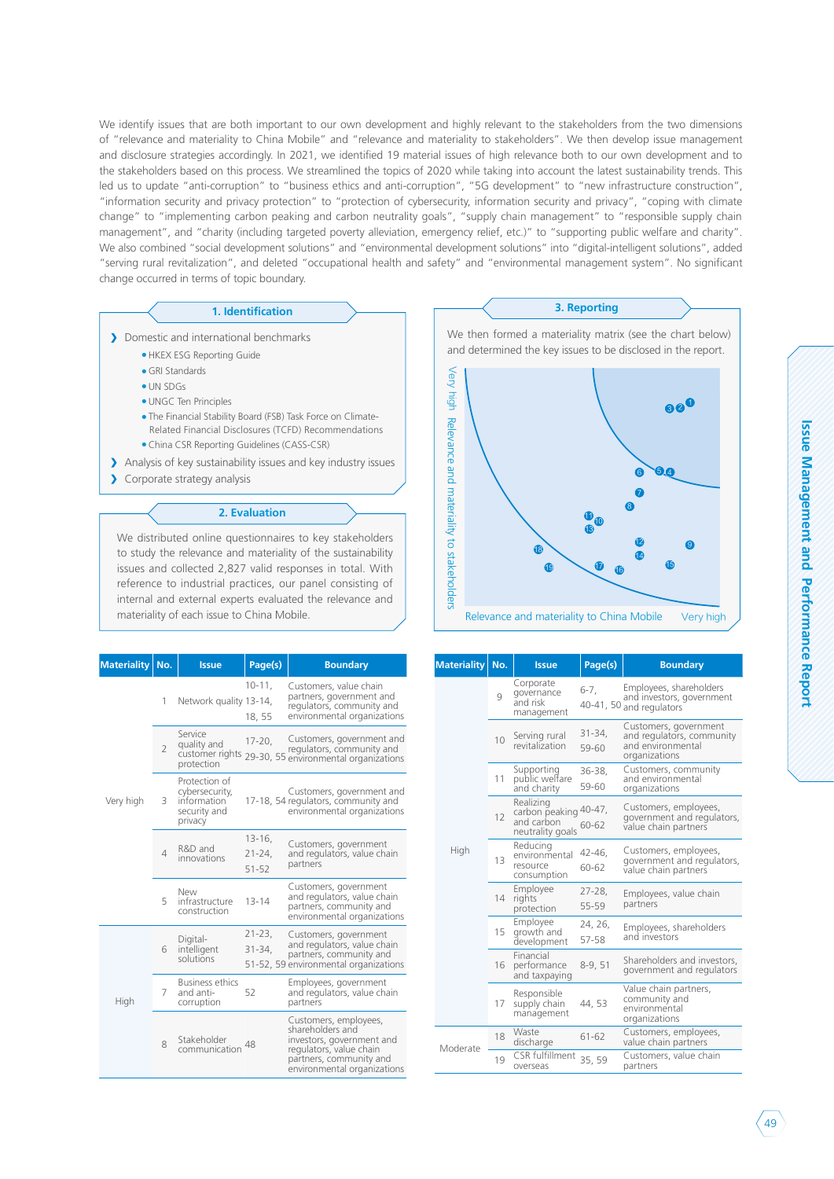We identify issues that are both important to our own development and highly relevant to the stakeholders from the two dimensions of "relevance and materiality to China Mobile" and "relevance and materiality to stakeholders". We then develop issue management and disclosure strategies accordingly. In 2021, we identified 19 material issues of high relevance both to our own development and to the stakeholders based on this process. We streamlined the topics of 2020 while taking into account the latest sustainability trends. This led us to update "anti-corruption" to "business ethics and anti-corruption", "5G development" to "new infrastructure construction", "information security and privacy protection" to "protection of cybersecurity, information security and privacy", "coping with climate change" to "implementing carbon peaking and carbon neutrality goals", "supply chain management" to "responsible supply chain management", and "charity (including targeted poverty alleviation, emergency relief, etc.)" to "supporting public welfare and charity". We also combined "social development solutions" and "environmental development solutions" into "digital-intelligent solutions", added "serving rural revitalization", and deleted "occupational health and safety" and "environmental management system". No significant change occurred in terms of topic boundary.

- Domestic and international benchmarks
	- HKEX ESG Reporting Guide
		- GRI Standards
		- UN SDGs
		- UNGC Ten Principles
		- The Financial Stability Board (FSB) Task Force on Climate- Related Financial Disclosures (TCFD) Recommendations • China CSR Reporting Guidelines (CASS-CSR)
- Analysis of key sustainability issues and key industry issues
- > Corporate strategy analysis

#### **2. Evaluation**

We distributed online questionnaires to key stakeholders to study the relevance and materiality of the sustainability issues and collected 2,827 valid responses in total. With reference to industrial practices, our panel consisting of internal and external experts evaluated the relevance and materiality of each issue to China Mobile.

| <b>Materiality</b> | No.                      | <b>Issue</b>                                                              | Page(s)                               | <b>Boundary</b>                                                                                                                                             |
|--------------------|--------------------------|---------------------------------------------------------------------------|---------------------------------------|-------------------------------------------------------------------------------------------------------------------------------------------------------------|
|                    | 1                        | Network quality 13-14,                                                    | $10 - 11$ ,<br>18, 55                 | Customers, value chain<br>partners, government and<br>regulators, community and<br>environmental organizations                                              |
|                    | $\overline{2}$           | Service<br>quality and<br>protection                                      | $17 - 20$ ,                           | Customers, government and<br>regulators, community and<br>customer rights 29-30, 55 environmental organizations                                             |
| Very high          | 3                        | Protection of<br>cybersecurity,<br>information<br>security and<br>privacy |                                       | Customers, government and<br>17-18, 54 regulators, community and<br>environmental organizations                                                             |
|                    | $\overline{\mathcal{L}}$ | R&D and<br>innovations                                                    | $13 - 16$ ,<br>$21 - 24$<br>$51 - 52$ | Customers, government<br>and regulators, value chain<br>partners                                                                                            |
|                    | 5                        | New<br>infrastructure<br>construction                                     | $13 - 14$                             | Customers, government<br>and regulators, value chain<br>partners, community and<br>environmental organizations                                              |
|                    | 6                        | Digital-<br>intelligent<br>solutions                                      | $21 - 23,$<br>$31 - 34$               | Customers, government<br>and regulators, value chain<br>partners, community and<br>51-52, 59 environmental organizations                                    |
| High               | 7                        | <b>Business ethics</b><br>and anti-<br>corruption                         | 52                                    | Employees, government<br>and regulators, value chain<br>partners                                                                                            |
|                    | 8                        | Stakeholder<br>communication                                              | 48                                    | Customers, employees,<br>shareholders and<br>investors, government and<br>regulators, value chain<br>partners, community and<br>environmental organizations |



| <b>Materiality</b> | No. | <b>Issue</b>                                                         | Page(s)            | <b>Boundary</b>                                                                          |
|--------------------|-----|----------------------------------------------------------------------|--------------------|------------------------------------------------------------------------------------------|
|                    | 9   | Corporate<br>governance<br>and risk<br>management                    | $6-7,$             | Employees, shareholders<br>and investors, government<br>40-41, 50 and regulators         |
|                    | 10  | Serving rural<br>revitalization                                      | $31 - 34$<br>59-60 | Customers, government<br>and regulators, community<br>and environmental<br>organizations |
|                    | 11  | Supporting<br>public welfare<br>and charity                          | $36 - 38$<br>59-60 | Customers, community<br>and environmental<br>organizations                               |
|                    | 12  | Realizing<br>carbon peaking 40-47,<br>and carbon<br>neutrality goals | 60-62              | Customers, employees,<br>government and regulators,<br>value chain partners              |
| High               | 13  | Reducing<br>environmental<br>resource<br>consumption                 | 42-46,<br>60-62    | Customers, employees,<br>government and regulators,<br>value chain partners              |
|                    | 14  | Employee<br>rights<br>protection                                     | $27 - 28$<br>55-59 | Employees, value chain<br>partners                                                       |
|                    | 15  | Employee<br>growth and<br>development                                | 24, 26,<br>57-58   | Employees, shareholders<br>and investors                                                 |
|                    | 16  | Financial<br>performance<br>and taxpaying                            | $8-9,51$           | Shareholders and investors,<br>government and regulators                                 |
|                    | 17  | Responsible<br>supply chain<br>management                            | 44, 53             | Value chain partners,<br>community and<br>environmental<br>organizations                 |
| Moderate           | 18  | Waste<br>discharge                                                   | $61 - 62$          | Customers, employees,<br>value chain partners                                            |
|                    | 19  | CSR fulfillment<br>overseas                                          | 35, 59             | Customers, value chain<br>partners                                                       |
|                    |     |                                                                      |                    |                                                                                          |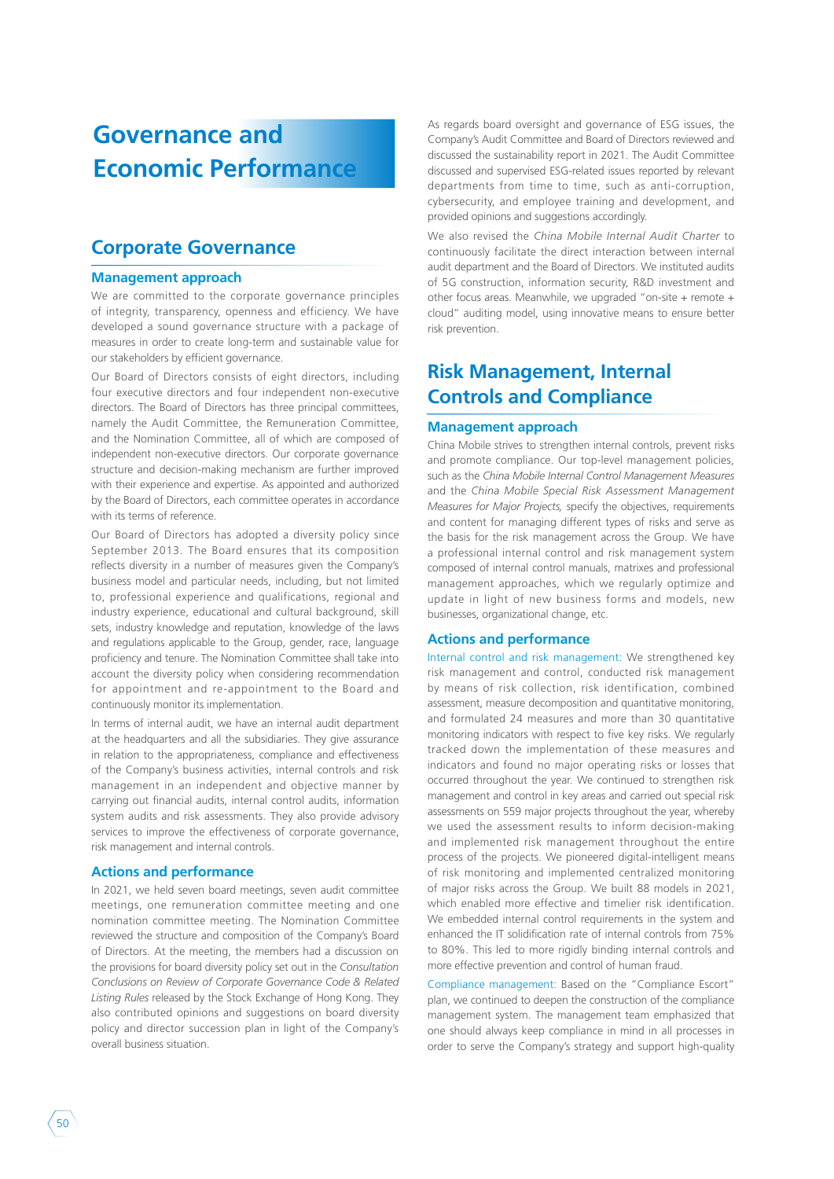## **Governance and Economic Performance**

### **Corporate Governance**

#### **Management approach**

We are committed to the corporate governance principles of integrity, transparency, openness and efficiency. We have developed a sound governance structure with a package of measures in order to create long-term and sustainable value for our stakeholders by efficient governance.

Our Board of Directors consists of eight directors, including four executive directors and four independent non-executive directors. The Board of Directors has three principal committees, namely the Audit Committee, the Remuneration Committee, and the Nomination Committee, all of which are composed of independent non-executive directors. Our corporate governance structure and decision-making mechanism are further improved with their experience and expertise. As appointed and authorized by the Board of Directors, each committee operates in accordance with its terms of reference.

Our Board of Directors has adopted a diversity policy since September 2013. The Board ensures that its composition reflects diversity in a number of measures given the Company's business model and particular needs, including, but not limited to, professional experience and qualifications, regional and industry experience, educational and cultural background, skill sets, industry knowledge and reputation, knowledge of the laws and regulations applicable to the Group, gender, race, language proficiency and tenure. The Nomination Committee shall take into account the diversity policy when considering recommendation for appointment and re-appointment to the Board and continuously monitor its implementation.

In terms of internal audit, we have an internal audit department at the headquarters and all the subsidiaries. They give assurance in relation to the appropriateness, compliance and effectiveness of the Company's business activities, internal controls and risk management in an independent and objective manner by carrying out financial audits, internal control audits, information system audits and risk assessments. They also provide advisory services to improve the effectiveness of corporate governance, risk management and internal controls.

#### **Actions and performance**

In 2021, we held seven board meetings, seven audit committee meetings, one remuneration committee meeting and one nomination committee meeting. The Nomination Committee reviewed the structure and composition of the Company's Board of Directors. At the meeting, the members had a discussion on the provisions for board diversity policy set out in the *Consultation Conclusions on Review of Corporate Governance Code & Related Listing Rules* released by the Stock Exchange of Hong Kong. They also contributed opinions and suggestions on board diversity policy and director succession plan in light of the Company's overall business situation.

As regards board oversight and governance of ESG issues, the Company's Audit Committee and Board of Directors reviewed and discussed the sustainability report in 2021. The Audit Committee discussed and supervised ESG-related issues reported by relevant departments from time to time, such as anti-corruption, cybersecurity, and employee training and development, and provided opinions and suggestions accordingly.

We also revised the *China Mobile Internal Audit Charter* to continuously facilitate the direct interaction between internal audit department and the Board of Directors. We instituted audits of 5G construction, information security, R&D investment and other focus areas. Meanwhile, we upgraded "on-site + remote + cloud" auditing model, using innovative means to ensure better risk prevention.

### **Risk Management, Internal Controls and Compliance**

#### **Management approach**

China Mobile strives to strengthen internal controls, prevent risks and promote compliance. Our top-level management policies, such as the *China Mobile Internal Control Management Measures*  and the *China Mobile Special Risk Assessment Management Measures for Major Projects,* specify the objectives, requirements and content for managing different types of risks and serve as the basis for the risk management across the Group. We have a professional internal control and risk management system composed of internal control manuals, matrixes and professional management approaches, which we regularly optimize and update in light of new business forms and models, new businesses, organizational change, etc.

#### **Actions and performance**

Internal control and risk management: We strengthened key risk management and control, conducted risk management by means of risk collection, risk identification, combined assessment, measure decomposition and quantitative monitoring, and formulated 24 measures and more than 30 quantitative monitoring indicators with respect to five key risks. We regularly tracked down the implementation of these measures and indicators and found no major operating risks or losses that occurred throughout the year. We continued to strengthen risk management and control in key areas and carried out special risk assessments on 559 major projects throughout the year, whereby we used the assessment results to inform decision-making and implemented risk management throughout the entire process of the projects. We pioneered digital-intelligent means of risk monitoring and implemented centralized monitoring of major risks across the Group. We built 88 models in 2021, which enabled more effective and timelier risk identification. We embedded internal control requirements in the system and enhanced the IT solidification rate of internal controls from 75% to 80%. This led to more rigidly binding internal controls and more effective prevention and control of human fraud.

Compliance management: Based on the "Compliance Escort" plan, we continued to deepen the construction of the compliance management system. The management team emphasized that one should always keep compliance in mind in all processes in order to serve the Company's strategy and support high-quality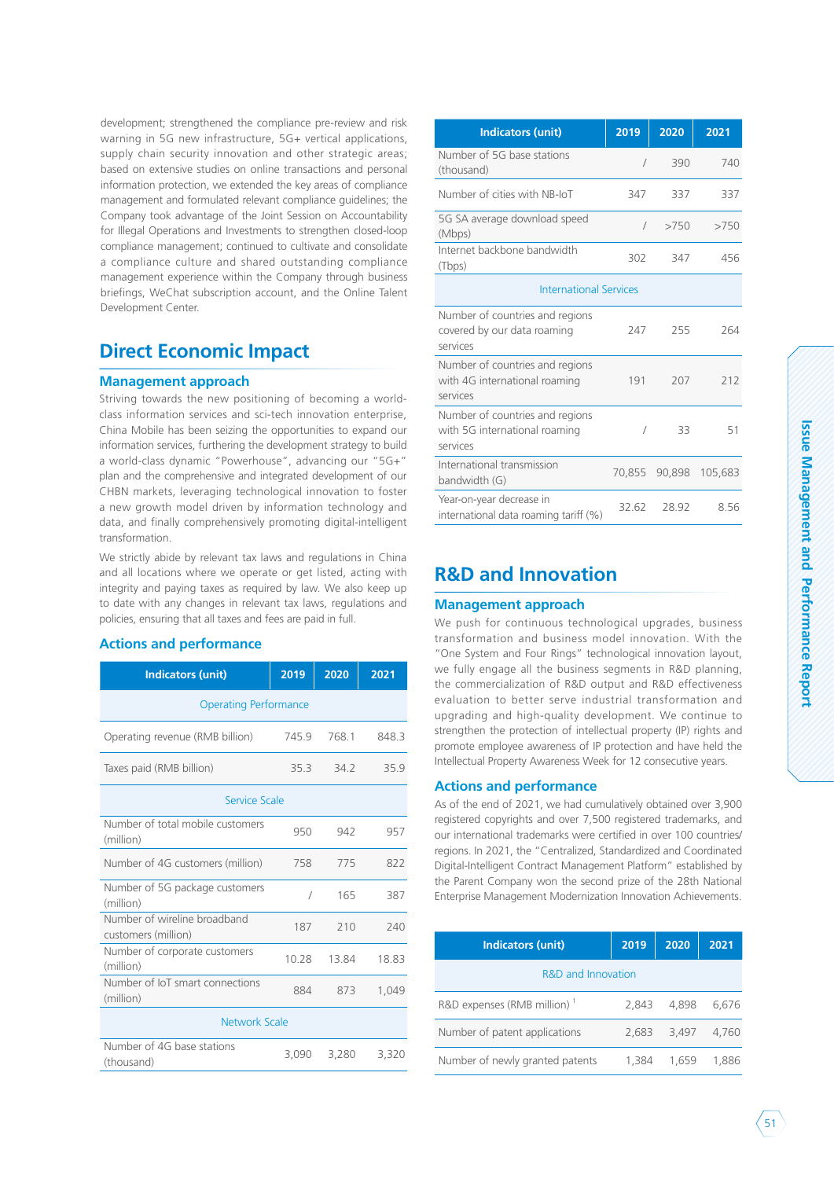development; strengthened the compliance pre-review and risk warning in 5G new infrastructure, 5G+ vertical applications, supply chain security innovation and other strategic areas; based on extensive studies on online transactions and personal information protection, we extended the key areas of compliance management and formulated relevant compliance guidelines; the Company took advantage of the Joint Session on Accountability for Illegal Operations and Investments to strengthen closed-loop compliance management; continued to cultivate and consolidate a compliance culture and shared outstanding compliance management experience within the Company through business briefings, WeChat subscription account, and the Online Talent Development Center.

### **Direct Economic Impact**

### **Management approach**

Striving towards the new positioning of becoming a worldclass information services and sci-tech innovation enterprise, China Mobile has been seizing the opportunities to expand our information services, furthering the development strategy to build a world-class dynamic "Powerhouse", advancing our "5G+" plan and the comprehensive and integrated development of our CHBN markets, leveraging technological innovation to foster a new growth model driven by information technology and data, and finally comprehensively promoting digital-intelligent transformation.

We strictly abide by relevant tax laws and regulations in China and all locations where we operate or get listed, acting with integrity and paying taxes as required by law. We also keep up to date with any changes in relevant tax laws, regulations and policies, ensuring that all taxes and fees are paid in full.

### **Actions and performance**

| <b>Indicators (unit)</b>                            | 2019       | 2020  | 2021  |  |
|-----------------------------------------------------|------------|-------|-------|--|
| <b>Operating Performance</b>                        |            |       |       |  |
| Operating revenue (RMB billion)                     | 745.9      | 7681  | 8483  |  |
| Taxes paid (RMB billion)                            | 35.3       | 34.2  | 35.9  |  |
| Service Scale                                       |            |       |       |  |
| Number of total mobile customers<br>(million)       | 950        | 942   | 957   |  |
| Number of 4G customers (million)                    | 758        | 775   | 822   |  |
| Number of 5G package customers<br>(million)         | $\sqrt{2}$ | 165   | 387   |  |
| Number of wireline broadband<br>customers (million) | 187        | 210   | 240   |  |
| Number of corporate customers<br>(million)          | 10.28      | 13.84 | 18.83 |  |
| Number of IoT smart connections<br>(million)        | 884        | 873   | 1.049 |  |
| Network Scale                                       |            |       |       |  |
| Number of 4G base stations<br>(thousand)            | 3.090      | 3,280 | 3,320 |  |

| <b>Indicators (unit)</b>                                                     | 2019       | 2020   | 2021    |
|------------------------------------------------------------------------------|------------|--------|---------|
| Number of 5G base stations<br>(thousand)                                     | $\sqrt{2}$ | 390    | 740     |
| Number of cities with NB-IoT                                                 | 347        | 337    | 337     |
| 5G SA average download speed<br>(Mbps)                                       | $\sqrt{2}$ | >750   | >750    |
| Internet backbone bandwidth<br>(Tbps)                                        | 302        | 347    | 456     |
| <b>International Services</b>                                                |            |        |         |
| Number of countries and regions<br>covered by our data roaming<br>services   | 247        | 255    | 264     |
| Number of countries and regions<br>with 4G international roaming<br>services | 191        | 207    | 212     |
| Number of countries and regions<br>with 5G international roaming<br>services | $\prime$   | 33     | 51      |
| International transmission<br>bandwidth (G)                                  | 70,855     | 90,898 | 105,683 |
| Year-on-year decrease in<br>international data roaming tariff (%)            | 32.62      | 28.92  | 8.56    |

### **R&D and Innovation**

#### **Management approach**

We push for continuous technological upgrades, business transformation and business model innovation. With the "One System and Four Rings" technological innovation layout, we fully engage all the business segments in R&D planning, the commercialization of R&D output and R&D effectiveness evaluation to better serve industrial transformation and upgrading and high-quality development. We continue to strengthen the protection of intellectual property (IP) rights and promote employee awareness of IP protection and have held the Intellectual Property Awareness Week for 12 consecutive years.

### **Actions and performance**

As of the end of 2021, we had cumulatively obtained over 3,900 registered copyrights and over 7,500 registered trademarks, and our international trademarks were certified in over 100 countries/ regions. In 2021, the "Centralized, Standardized and Coordinated Digital-Intelligent Contract Management Platform" established by the Parent Company won the second prize of the 28th National Enterprise Management Modernization Innovation Achievements.

| <b>Indicators (unit)</b>                | 2019  | 2020  | 2021  |
|-----------------------------------------|-------|-------|-------|
| R&D and Innovation                      |       |       |       |
| R&D expenses (RMB million) <sup>1</sup> | 2.843 | 4.898 | 6.676 |
| Number of patent applications           | 2.683 | 3.497 | 4.760 |
| Number of newly granted patents         | 1.384 | 1.659 | 1.886 |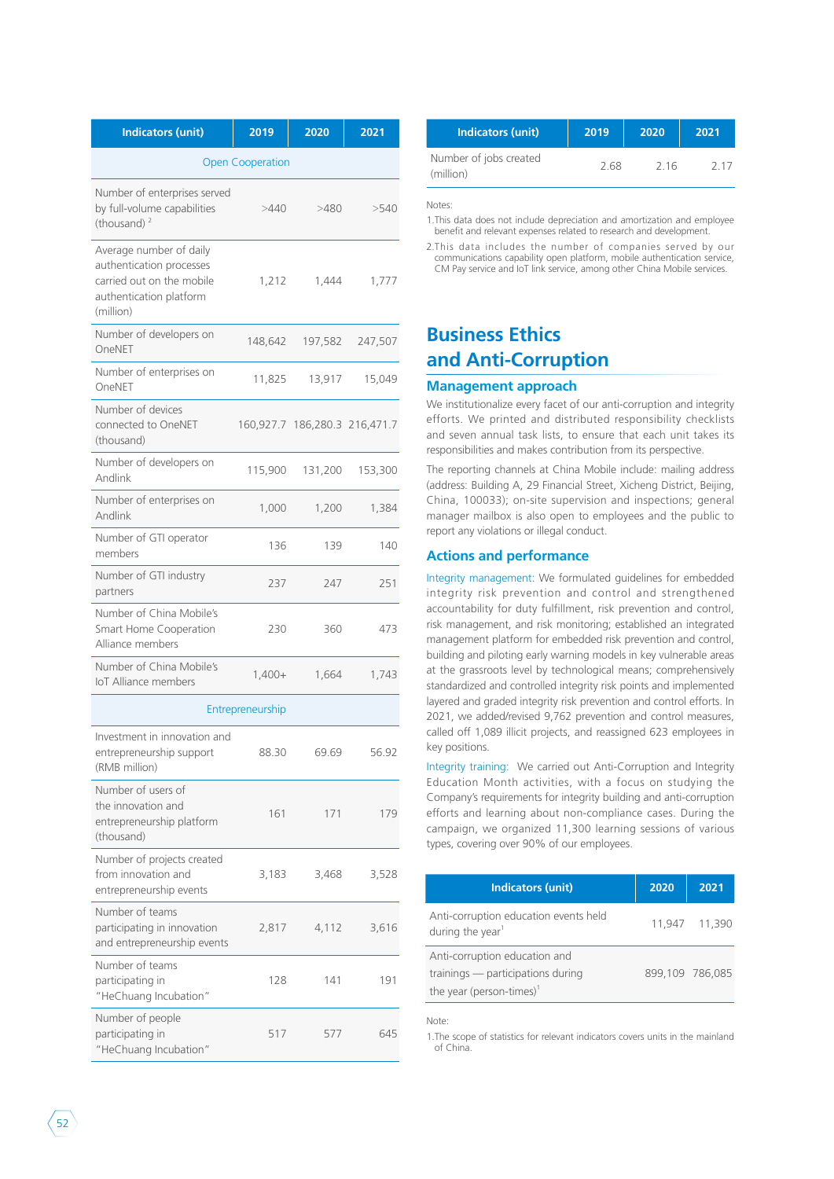| <b>Indicators (unit)</b>                                                                                                 | 2019                    | 2020                          | 2021    |
|--------------------------------------------------------------------------------------------------------------------------|-------------------------|-------------------------------|---------|
|                                                                                                                          | <b>Open Cooperation</b> |                               |         |
| Number of enterprises served<br>by full-volume capabilities<br>(thousand) <sup>2</sup>                                   | >440                    | >480                          | >540    |
| Average number of daily<br>authentication processes<br>carried out on the mobile<br>authentication platform<br>(million) | 1,212                   | 1,444                         | 1,777   |
| Number of developers on<br>OneNET                                                                                        | 148,642                 | 197,582                       | 247,507 |
| Number of enterprises on<br>OneNET                                                                                       | 11,825                  | 13,917                        | 15,049  |
| Number of devices<br>connected to OneNET<br>(thousand)                                                                   |                         | 160,927.7 186,280.3 216,471.7 |         |
| Number of developers on<br>Andlink                                                                                       | 115,900                 | 131,200                       | 153,300 |
| Number of enterprises on<br>Andlink                                                                                      | 1,000                   | 1.200                         | 1,384   |
| Number of GTI operator<br>members                                                                                        | 136                     | 139                           | 140     |
| Number of GTI industry<br>partners                                                                                       | 237                     | 247                           | 251     |
| Number of China Mobile's<br><b>Smart Home Cooperation</b><br>Alliance members                                            | 230                     | 360                           | 473     |
| Number of China Mobile's<br><b>IoT Alliance members</b>                                                                  | $1,400+$                | 1,664                         | 1,743   |
|                                                                                                                          | Entrepreneurship        |                               |         |
| Investment in innovation and<br>entrepreneurship support<br>(RMB million)                                                | 88.30                   | 69.69                         | 56.92   |
| Number of users of<br>the innovation and<br>entrepreneurship platform<br>(thousand)                                      | 161                     | 171                           | 179     |
| Number of projects created<br>from innovation and<br>entrepreneurship events                                             | 3,183                   | 3,468                         | 3,528   |
| Number of teams<br>participating in innovation<br>and entrepreneurship events                                            | 2,817                   | 4,112                         | 3,616   |
| Number of teams<br>participating in<br>"HeChuang Incubation"                                                             | 128                     | 141                           | 191     |
| Number of people<br>participating in<br>"HeChuang Incubation"                                                            | 517                     | 577                           | 645     |

| <b>Indicators (unit)</b> | 2019 | 2020 | 2021                                | Indicators (unit) | 2019 | 2020 | 2021 |
|--------------------------|------|------|-------------------------------------|-------------------|------|------|------|
| <b>Open Cooperation</b>  |      |      | Number of jobs created<br>(million) | 2.68              | 216  | 2 17 |      |
|                          |      |      |                                     |                   |      |      |      |

Notes:

1.This data does not include depreciation and amortization and employee benefit and relevant expenses related to research and development.

2.This data includes the number of companies served by our communications capability open platform, mobile authentication service, CM Pay service and IoT link service, among other China Mobile services.

### **Business Ethics and Anti-Corruption**

### **Management approach**

We institutionalize every facet of our anti-corruption and integrity efforts. We printed and distributed responsibility checklists and seven annual task lists, to ensure that each unit takes its responsibilities and makes contribution from its perspective.

The reporting channels at China Mobile include: mailing address (address: Building A, 29 Financial Street, Xicheng District, Beijing, China, 100033); on-site supervision and inspections; general manager mailbox is also open to employees and the public to report any violations or illegal conduct.

### **Actions and performance**

Integrity management: We formulated guidelines for embedded integrity risk prevention and control and strengthened accountability for duty fulfillment, risk prevention and control, risk management, and risk monitoring; established an integrated management platform for embedded risk prevention and control, building and piloting early warning models in key vulnerable areas at the grassroots level by technological means; comprehensively standardized and controlled integrity risk points and implemented layered and graded integrity risk prevention and control efforts. In 2021, we added/revised 9,762 prevention and control measures, called off 1,089 illicit projects, and reassigned 623 employees in key positions.

Integrity training: We carried out Anti-Corruption and Integrity Education Month activities, with a focus on studying the Company's requirements for integrity building and anti-corruption efforts and learning about non-compliance cases. During the campaign, we organized 11,300 learning sessions of various types, covering over 90% of our employees.

| <b>Indicators (unit)</b>                                                                                   | 2020 | 2021            |
|------------------------------------------------------------------------------------------------------------|------|-----------------|
| Anti-corruption education events held<br>during the year <sup>1</sup>                                      |      | 11.947 11.390   |
| Anti-corruption education and<br>trainings — participations during<br>the year (person-times) <sup>1</sup> |      | 899,109 786.085 |

Note:

1.The scope of statistics for relevant indicators covers units in the mainland of China.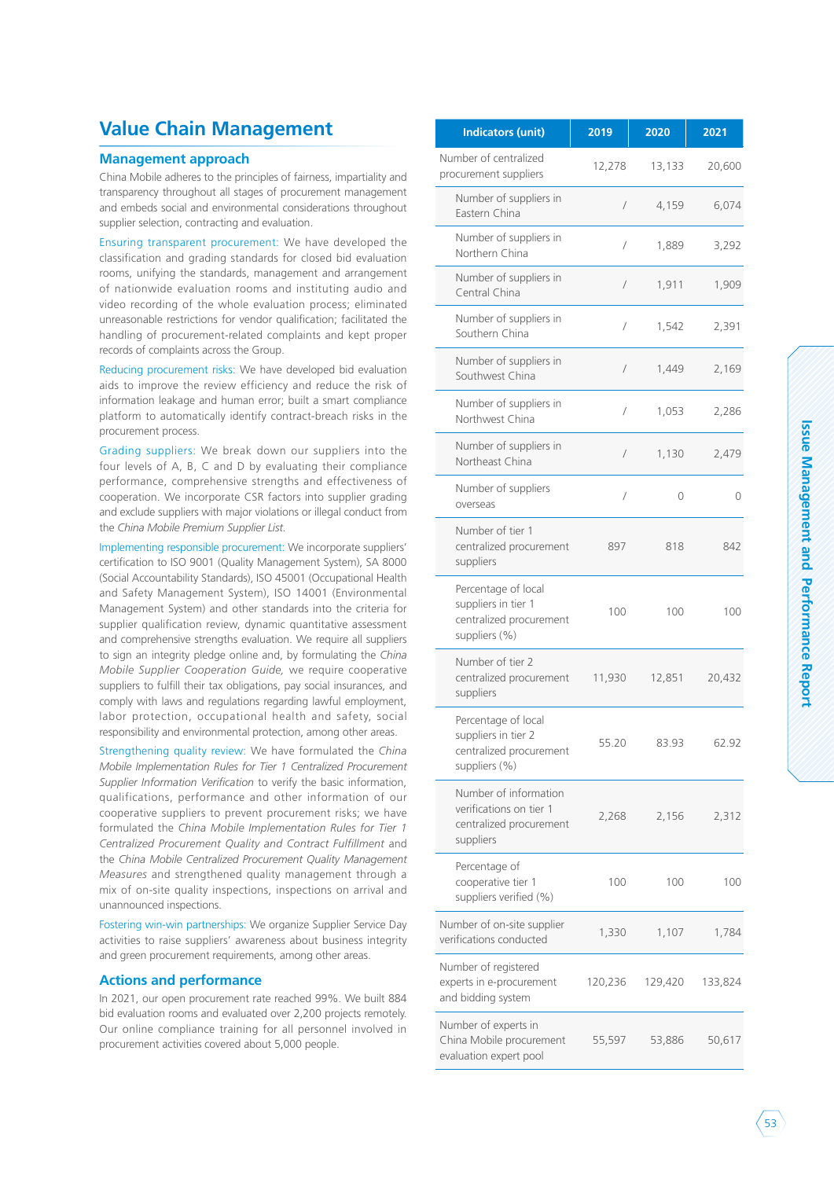### **Value Chain Management**

### **Management approach**

China Mobile adheres to the principles of fairness, impartiality and transparency throughout all stages of procurement management and embeds social and environmental considerations throughout supplier selection, contracting and evaluation.

Ensuring transparent procurement: We have developed the classification and grading standards for closed bid evaluation rooms, unifying the standards, management and arrangement of nationwide evaluation rooms and instituting audio and video recording of the whole evaluation process; eliminated unreasonable restrictions for vendor qualification; facilitated the handling of procurement-related complaints and kept proper records of complaints across the Group.

Reducing procurement risks: We have developed bid evaluation aids to improve the review efficiency and reduce the risk of information leakage and human error; built a smart compliance platform to automatically identify contract-breach risks in the procurement process.

Grading suppliers: We break down our suppliers into the four levels of A, B, C and D by evaluating their compliance performance, comprehensive strengths and effectiveness of cooperation. We incorporate CSR factors into supplier grading and exclude suppliers with major violations or illegal conduct from the *China Mobile Premium Supplier List.*

Implementing responsible procurement: We incorporate suppliers' certification to ISO 9001 (Quality Management System), SA 8000 (Social Accountability Standards), ISO 45001 (Occupational Health and Safety Management System), ISO 14001 (Environmental Management System) and other standards into the criteria for supplier qualification review, dynamic quantitative assessment and comprehensive strengths evaluation. We require all suppliers to sign an integrity pledge online and, by formulating the *China Mobile Supplier Cooperation Guide,* we require cooperative suppliers to fulfill their tax obligations, pay social insurances, and comply with laws and regulations regarding lawful employment, labor protection, occupational health and safety, social responsibility and environmental protection, among other areas.

Strengthening quality review: We have formulated the *China Mobile Implementation Rules for Tier 1 Centralized Procurement Supplier Information Verification* to verify the basic information, qualifications, performance and other information of our cooperative suppliers to prevent procurement risks; we have formulated the *China Mobile Implementation Rules for Tier 1 Centralized Procurement Quality and Contract Fulfillment* and the *China Mobile Centralized Procurement Quality Management Measures* and strengthened quality management through a mix of on-site quality inspections, inspections on arrival and unannounced inspections.

Fostering win-win partnerships: We organize Supplier Service Day activities to raise suppliers' awareness about business integrity and green procurement requirements, among other areas.

### **Actions and performance**

In 2021, our open procurement rate reached 99%. We built 884 bid evaluation rooms and evaluated over 2,200 projects remotely. Our online compliance training for all personnel involved in procurement activities covered about 5,000 people.

| <b>Indicators (unit)</b>                                                                 | 2019       | 2020    | 2021    |
|------------------------------------------------------------------------------------------|------------|---------|---------|
| Number of centralized<br>procurement suppliers                                           | 12,278     | 13,133  | 20,600  |
| Number of suppliers in<br>Eastern China                                                  | $\sqrt{2}$ | 4,159   | 6,074   |
| Number of suppliers in<br>Northern China                                                 | $\sqrt{ }$ | 1,889   | 3,292   |
| Number of suppliers in<br>Central China                                                  | /          | 1,911   | 1,909   |
| Number of suppliers in<br>Southern China                                                 | /          | 1,542   | 2,391   |
| Number of suppliers in<br>Southwest China                                                | /          | 1,449   | 2,169   |
| Number of suppliers in<br>Northwest China                                                | /          | 1,053   | 2,286   |
| Number of suppliers in<br>Northeast China                                                | $\sqrt{2}$ | 1,130   | 2,479   |
| Number of suppliers<br>overseas                                                          | $\sqrt{2}$ | 0       | 0       |
| Number of tier 1<br>centralized procurement<br>suppliers                                 | 897        | 818     | 842     |
| Percentage of local<br>suppliers in tier 1<br>centralized procurement<br>suppliers (%)   | 100        | 100     | 100     |
| Number of tier 2<br>centralized procurement<br>suppliers                                 | 11,930     | 12,851  | 20,432  |
| Percentage of local<br>suppliers in tier 2<br>centralized procurement<br>suppliers (%)   | 55.20      | 83.93   | 62.92   |
| Number of information<br>verifications on tier 1<br>centralized procurement<br>suppliers | 2,268      | 2,156   | 2,312   |
| Percentage of<br>cooperative tier 1<br>suppliers verified (%)                            | 100        | 100     | 100     |
| Number of on-site supplier<br>verifications conducted                                    | 1,330      | 1,107   | 1,784   |
| Number of registered<br>experts in e-procurement<br>and bidding system                   | 120,236    | 129,420 | 133,824 |
| Number of experts in<br>China Mobile procurement<br>evaluation expert pool               | 55,597     | 53,886  | 50,617  |

### $53$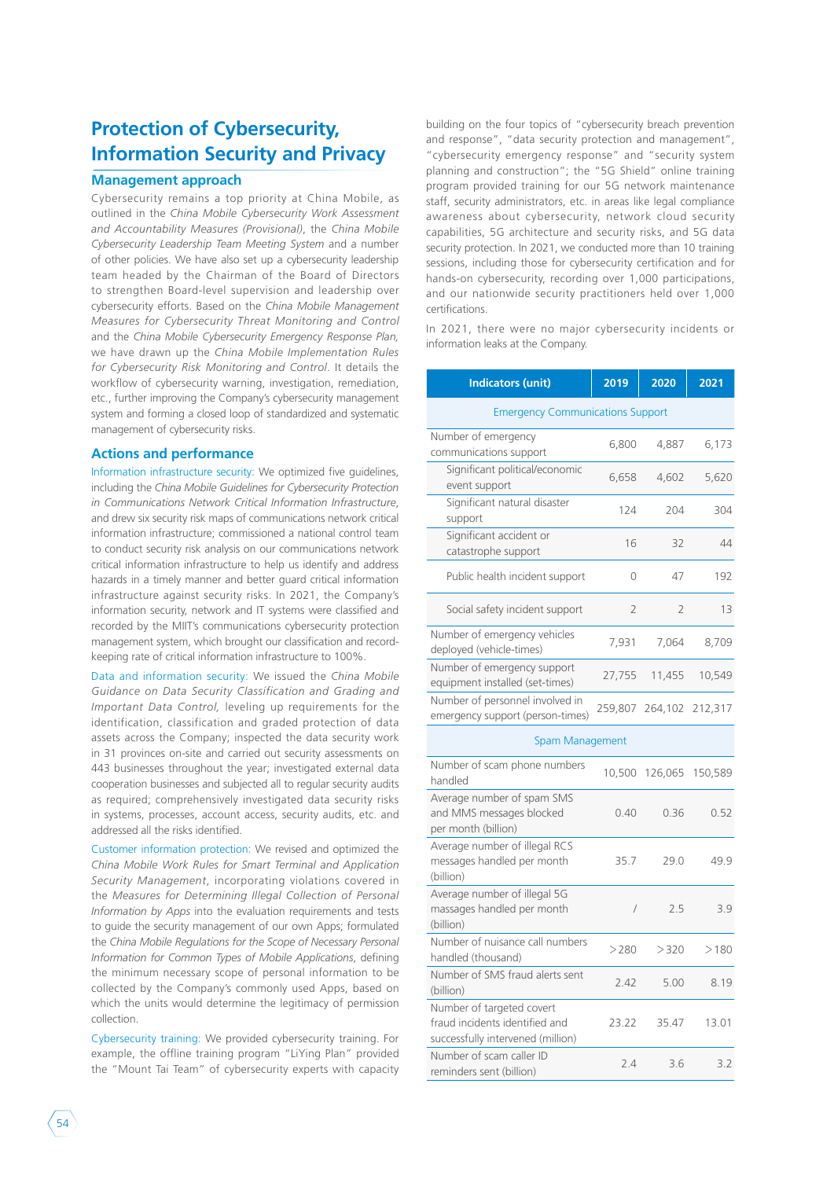### **Protection of Cybersecurity, Information Security and Privacy**

### **Management approach**

Cybersecurity remains a top priority at China Mobile, as outlined in the *China Mobile Cybersecurity Work Assessment and Accountability Measures (Provisional)*, the *China Mobile Cybersecurity Leadership Team Meeting System* and a number of other policies. We have also set up a cybersecurity leadership team headed by the Chairman of the Board of Directors to strengthen Board-level supervision and leadership over cybersecurity efforts. Based on the *China Mobile Management Measures for Cybersecurity Threat Monitoring and Control*  and the *China Mobile Cybersecurity Emergency Response Plan,*  we have drawn up the *China Mobile Implementation Rules for Cybersecurity Risk Monitoring and Control*. It details the workflow of cybersecurity warning, investigation, remediation, etc., further improving the Company's cybersecurity management system and forming a closed loop of standardized and systematic management of cybersecurity risks.

### **Actions and performance**

Information infrastructure security: We optimized five guidelines, including the *China Mobile Guidelines for Cybersecurity Protection in Communications Network Critical Information Infrastructure*, and drew six security risk maps of communications network critical information infrastructure; commissioned a national control team to conduct security risk analysis on our communications network critical information infrastructure to help us identify and address hazards in a timely manner and better guard critical information infrastructure against security risks. In 2021, the Company's information security, network and IT systems were classified and recorded by the MIIT's communications cybersecurity protection management system, which brought our classification and recordkeeping rate of critical information infrastructure to 100%.

Data and information security: We issued the *China Mobile Guidance on Data Security Classification and Grading and Important Data Control,* leveling up requirements for the identification, classification and graded protection of data assets across the Company; inspected the data security work in 31 provinces on-site and carried out security assessments on 443 businesses throughout the year; investigated external data cooperation businesses and subjected all to regular security audits as required; comprehensively investigated data security risks in systems, processes, account access, security audits, etc. and addressed all the risks identified.

Customer information protection: We revised and optimized the *China Mobile Work Rules for Smart Terminal and Application Security Management*, incorporating violations covered in the *Measures for Determining Illegal Collection of Personal Information by Apps* into the evaluation requirements and tests to guide the security management of our own Apps; formulated the *China Mobile Regulations for the Scope of Necessary Personal Information for Common Types of Mobile Applications*, defining the minimum necessary scope of personal information to be collected by the Company's commonly used Apps, based on which the units would determine the legitimacy of permission collection.

Cybersecurity training: We provided cybersecurity training. For example, the offline training program "LiYing Plan" provided the "Mount Tai Team" of cybersecurity experts with capacity

building on the four topics of "cybersecurity breach prevention and response", "data security protection and management", "cybersecurity emergency response" and "security system planning and construction"; the "5G Shield" online training program provided training for our 5G network maintenance staff, security administrators, etc. in areas like legal compliance awareness about cybersecurity, network cloud security capabilities, 5G architecture and security risks, and 5G data security protection. In 2021, we conducted more than 10 training sessions, including those for cybersecurity certification and for hands-on cybersecurity, recording over 1,000 participations, and our nationwide security practitioners held over 1,000 certifications.

In 2021, there were no major cybersecurity incidents or information leaks at the Company.

| <b>Indicators (unit)</b>                                                                         | 2019           | 2020           | 2021    |
|--------------------------------------------------------------------------------------------------|----------------|----------------|---------|
| <b>Emergency Communications Support</b>                                                          |                |                |         |
| Number of emergency<br>communications support                                                    | 6,800          | 4,887          | 6,173   |
| Significant political/economic<br>event support                                                  | 6,658          | 4,602          | 5,620   |
| Significant natural disaster<br>support                                                          | 124            | 204            | 304     |
| Significant accident or<br>catastrophe support                                                   | 16             | 32             | 44      |
| Public health incident support                                                                   | 0              | 47             | 192     |
| Social safety incident support                                                                   | $\overline{2}$ | $\overline{2}$ | 13      |
| Number of emergency vehicles<br>deployed (vehicle-times)                                         | 7,931          | 7,064          | 8,709   |
| Number of emergency support<br>equipment installed (set-times)                                   | 27,755         | 11,455         | 10,549  |
| Number of personnel involved in<br>emergency support (person-times)                              | 259,807        | 264,102        | 212,317 |
| Spam Management                                                                                  |                |                |         |
| Number of scam phone numbers<br>handled                                                          | 10,500         | 126,065        | 150,589 |
| Average number of spam SMS<br>and MMS messages blocked<br>per month (billion)                    | 0.40           | 0.36           | 0.52    |
| Average number of illegal RCS<br>messages handled per month<br>(billion)                         | 35.7           | 29.0           | 49.9    |
| Average number of illegal 5G<br>massages handled per month<br>(billion)                          | $\overline{1}$ | 2.5            | 3.9     |
| Number of nuisance call numbers<br>handled (thousand)                                            | >280           | >320           | >180    |
| Number of SMS fraud alerts sent<br>(billion)                                                     | 2.42           | 5.00           | 8.19    |
| Number of targeted covert<br>fraud incidents identified and<br>successfully intervened (million) | 23.22          | 35.47          | 13.01   |
| Number of scam caller ID<br>reminders sent (billion)                                             | 2.4            | 3.6            | 3.2     |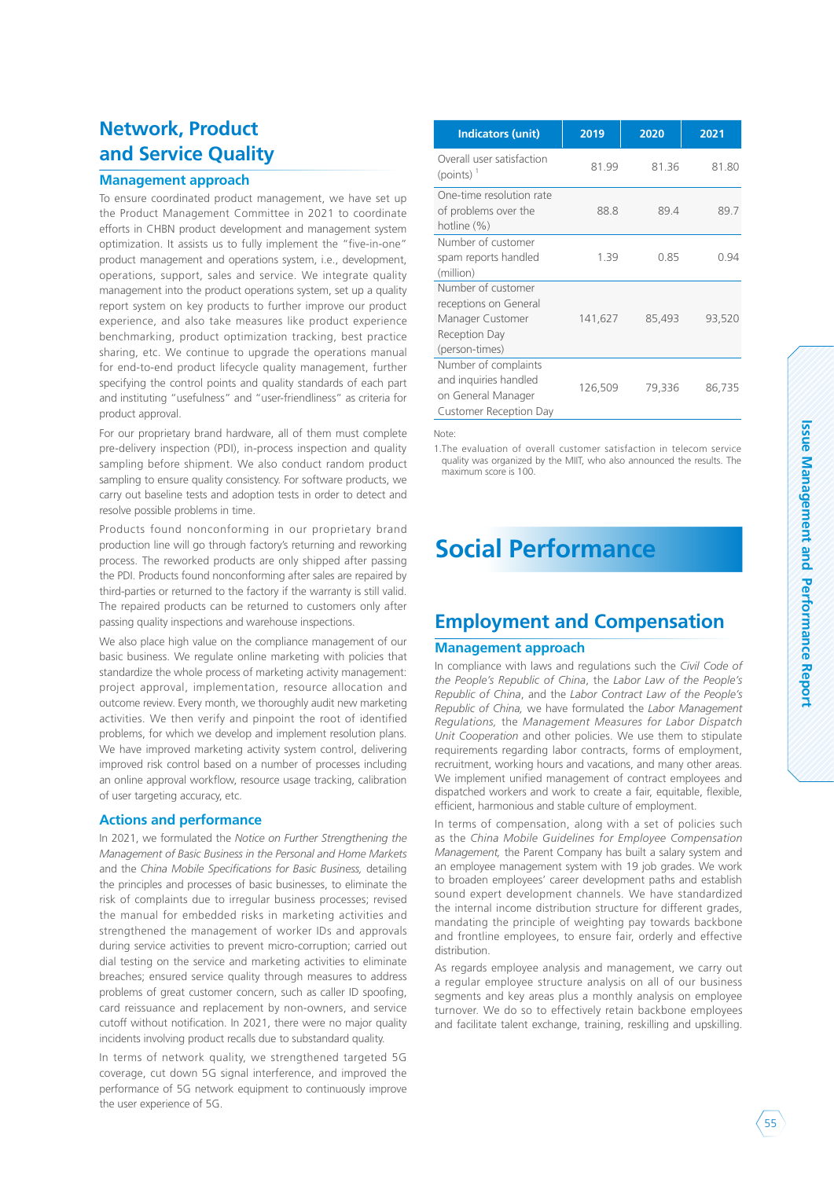### **Network, Product and Service Quality**

### **Management approach**

To ensure coordinated product management, we have set up the Product Management Committee in 2021 to coordinate efforts in CHBN product development and management system optimization. It assists us to fully implement the "five-in-one" product management and operations system, i.e., development, operations, support, sales and service. We integrate quality management into the product operations system, set up a quality report system on key products to further improve our product experience, and also take measures like product experience benchmarking, product optimization tracking, best practice sharing, etc. We continue to upgrade the operations manual for end-to-end product lifecycle quality management, further specifying the control points and quality standards of each part and instituting "usefulness" and "user-friendliness" as criteria for product approval.

For our proprietary brand hardware, all of them must complete pre-delivery inspection (PDI), in-process inspection and quality sampling before shipment. We also conduct random product sampling to ensure quality consistency. For software products, we carry out baseline tests and adoption tests in order to detect and resolve possible problems in time.

Products found nonconforming in our proprietary brand production line will go through factory's returning and reworking process. The reworked products are only shipped after passing the PDI. Products found nonconforming after sales are repaired by third-parties or returned to the factory if the warranty is still valid. The repaired products can be returned to customers only after passing quality inspections and warehouse inspections.

We also place high value on the compliance management of our basic business. We regulate online marketing with policies that standardize the whole process of marketing activity management: project approval, implementation, resource allocation and outcome review. Every month, we thoroughly audit new marketing activities. We then verify and pinpoint the root of identified problems, for which we develop and implement resolution plans. We have improved marketing activity system control, delivering improved risk control based on a number of processes including an online approval workflow, resource usage tracking, calibration of user targeting accuracy, etc.

#### **Actions and performance**

In 2021, we formulated the *Notice on Further Strengthening the Management of Basic Business in the Personal and Home Markets*  and the *China Mobile Specifications for Basic Business,* detailing the principles and processes of basic businesses, to eliminate the risk of complaints due to irregular business processes; revised the manual for embedded risks in marketing activities and strengthened the management of worker IDs and approvals during service activities to prevent micro-corruption; carried out dial testing on the service and marketing activities to eliminate breaches; ensured service quality through measures to address problems of great customer concern, such as caller ID spoofing, card reissuance and replacement by non-owners, and service cutoff without notification. In 2021, there were no major quality incidents involving product recalls due to substandard quality.

In terms of network quality, we strengthened targeted 5G coverage, cut down 5G signal interference, and improved the performance of 5G network equipment to continuously improve the user experience of 5G.

| <b>Indicators (unit)</b>                                                                           | 2019    | 2020   | 2021   |
|----------------------------------------------------------------------------------------------------|---------|--------|--------|
| Overall user satisfaction<br>$(points)^{-1}$                                                       | 81.99   | 81.36  | 81.80  |
| One-time resolution rate<br>of problems over the<br>hotline (%)                                    | 88.8    | 89.4   | 89.7   |
| Number of customer<br>spam reports handled<br>(million)                                            | 1.39    | 0.85   | 0.94   |
| Number of customer<br>receptions on General<br>Manager Customer<br>Reception Day<br>(person-times) | 141,627 | 85,493 | 93,520 |
| Number of complaints<br>and inquiries handled<br>on General Manager<br>Customer Reception Day      | 126,509 | 79,336 | 86,735 |

Note:

1.The evaluation of overall customer satisfaction in telecom service quality was organized by the MIIT, who also announced the results. The maximum score is 100.

## **Social Performance**

### **Employment and Compensation**

#### **Management approach**

In compliance with laws and regulations such the *Civil Code of the People's Republic of China*, the *Labor Law of the People's Republic of China*, and the *Labor Contract Law of the People's Republic of China,* we have formulated the *Labor Management Regulations,* the *Management Measures for Labor Dispatch Unit Cooperation* and other policies. We use them to stipulate requirements regarding labor contracts, forms of employment, recruitment, working hours and vacations, and many other areas. We implement unified management of contract employees and dispatched workers and work to create a fair, equitable, flexible, efficient, harmonious and stable culture of employment.

In terms of compensation, along with a set of policies such as the *China Mobile Guidelines for Employee Compensation Management,* the Parent Company has built a salary system and an employee management system with 19 job grades. We work to broaden employees' career development paths and establish sound expert development channels. We have standardized the internal income distribution structure for different grades, mandating the principle of weighting pay towards backbone and frontline employees, to ensure fair, orderly and effective distribution.

As regards employee analysis and management, we carry out a regular employee structure analysis on all of our business segments and key areas plus a monthly analysis on employee turnover. We do so to effectively retain backbone employees and facilitate talent exchange, training, reskilling and upskilling.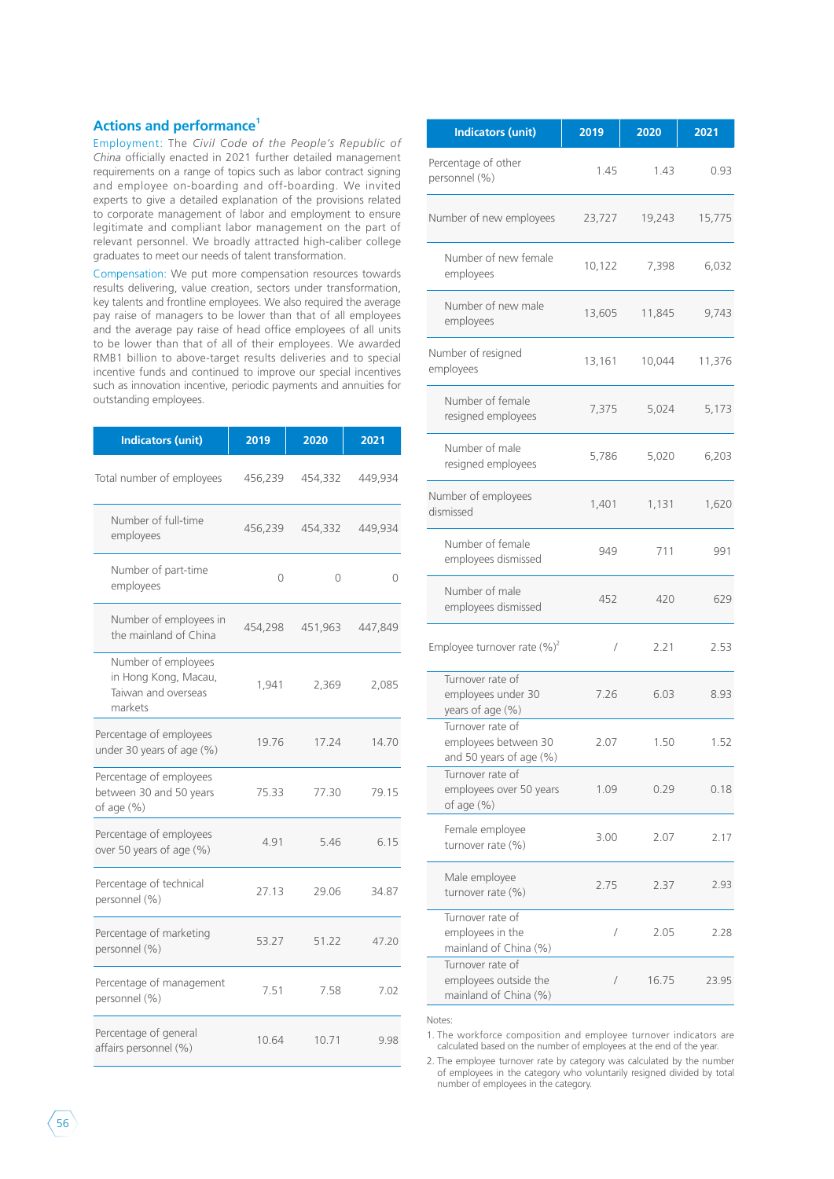### **Actions and performance1**

Employment: The *Civil Code of the People's Republic of China* officially enacted in 2021 further detailed management requirements on a range of topics such as labor contract signing and employee on-boarding and off-boarding. We invited experts to give a detailed explanation of the provisions related to corporate management of labor and employment to ensure legitimate and compliant labor management on the part of relevant personnel. We broadly attracted high-caliber college graduates to meet our needs of talent transformation.

Compensation: We put more compensation resources towards results delivering, value creation, sectors under transformation, key talents and frontline employees. We also required the average pay raise of managers to be lower than that of all employees and the average pay raise of head office employees of all units to be lower than that of all of their employees. We awarded RMB1 billion to above-target results deliveries and to special incentive funds and continued to improve our special incentives such as innovation incentive, periodic payments and annuities for outstanding employees.

| <b>Indicators (unit)</b>                                                      | 2019    | 2020    | 2021    |
|-------------------------------------------------------------------------------|---------|---------|---------|
| Total number of employees                                                     | 456,239 | 454,332 | 449,934 |
| Number of full-time<br>employees                                              | 456,239 | 454,332 | 449,934 |
| Number of part-time<br>employees                                              | 0       | 0       | 0       |
| Number of employees in<br>the mainland of China                               | 454,298 | 451,963 | 447,849 |
| Number of employees<br>in Hong Kong, Macau,<br>Taiwan and overseas<br>markets | 1,941   | 2,369   | 2,085   |
| Percentage of employees<br>under 30 years of age (%)                          | 19.76   | 17.24   | 14.70   |
| Percentage of employees<br>between 30 and 50 years<br>of age $(\% )$          | 75.33   | 77.30   | 79.15   |
| Percentage of employees<br>over 50 years of age (%)                           | 4.91    | 5.46    | 6.15    |
| Percentage of technical<br>personnel (%)                                      | 27.13   | 29.06   | 34.87   |
| Percentage of marketing<br>personnel (%)                                      | 53.27   | 51.22   | 47.20   |
| Percentage of management<br>personnel (%)                                     | 7.51    | 7.58    | 7.02    |
| Percentage of general<br>affairs personnel (%)                                | 10.64   | 10.71   | 9.98    |

| <b>Indicators (unit)</b>                                            | 2019       | 2020   | 2021   |
|---------------------------------------------------------------------|------------|--------|--------|
| Percentage of other<br>personnel (%)                                | 1.45       | 1.43   | 0.93   |
| Number of new employees                                             | 23,727     | 19,243 | 15,775 |
| Number of new female<br>employees                                   | 10,122     | 7,398  | 6,032  |
| Number of new male<br>employees                                     | 13,605     | 11,845 | 9,743  |
| Number of resigned<br>employees                                     | 13,161     | 10,044 | 11,376 |
| Number of female<br>resigned employees                              | 7,375      | 5,024  | 5,173  |
| Number of male<br>resigned employees                                | 5,786      | 5,020  | 6,203  |
| Number of employees<br>dismissed                                    | 1,401      | 1,131  | 1,620  |
| Number of female<br>employees dismissed                             | 949        | 711    | 991    |
| Number of male<br>employees dismissed                               | 452        | 420    | 629    |
| Employee turnover rate $(\%)^2$                                     | $\sqrt{2}$ | 2.21   | 2.53   |
| Turnover rate of<br>employees under 30<br>years of age (%)          | 7.26       | 6.03   | 8.93   |
| Turnover rate of<br>employees between 30<br>and 50 years of age (%) | 2.07       | 1.50   | 1.52   |
| Turnover rate of<br>employees over 50 years<br>of age $(\%)$        | 1.09       | 0.29   | 0.18   |
| Female employee<br>turnover rate $(\%)$                             | 3.00       | 2.07   | 2.17   |
| Male employee<br>turnover rate $(\%)$                               | 2.75       | 2.37   | 2.93   |
| Turnover rate of<br>employees in the<br>mainland of China (%)       | /          | 2.05   | 2.28   |
| Turnover rate of<br>employees outside the<br>mainland of China (%)  | /          | 16.75  | 23.95  |

Notes:

1. The workforce composition and employee turnover indicators are calculated based on the number of employees at the end of the year.

2. The employee turnover rate by category was calculated by the number of employees in the category who voluntarily resigned divided by total number of employees in the category.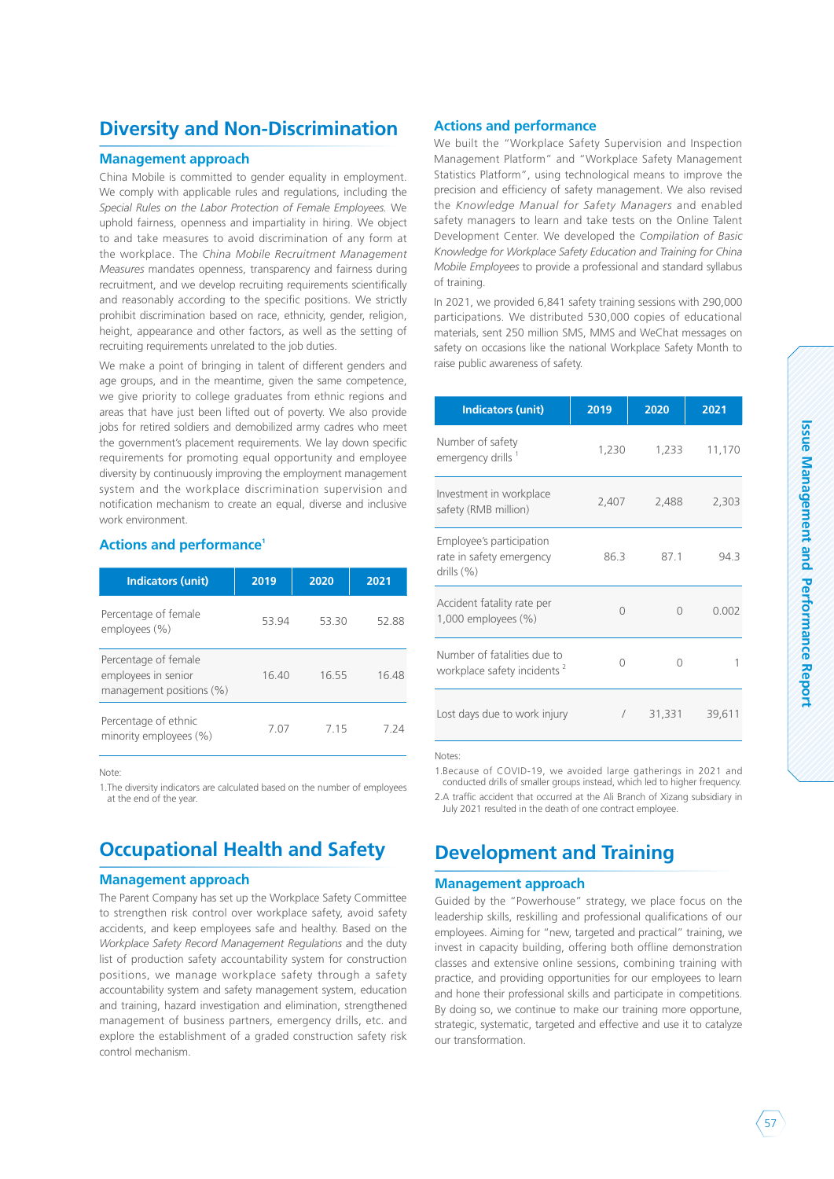### **Diversity and Non-Discrimination**

### **Management approach**

China Mobile is committed to gender equality in employment. We comply with applicable rules and regulations, including the *Special Rules on the Labor Protection of Female Employees.* We uphold fairness, openness and impartiality in hiring. We object to and take measures to avoid discrimination of any form at the workplace. The *China Mobile Recruitment Management Measures* mandates openness, transparency and fairness during recruitment, and we develop recruiting requirements scientifically and reasonably according to the specific positions. We strictly prohibit discrimination based on race, ethnicity, gender, religion, height, appearance and other factors, as well as the setting of recruiting requirements unrelated to the job duties.

We make a point of bringing in talent of different genders and age groups, and in the meantime, given the same competence, we give priority to college graduates from ethnic regions and areas that have just been lifted out of poverty. We also provide jobs for retired soldiers and demobilized army cadres who meet the government's placement requirements. We lay down specific requirements for promoting equal opportunity and employee diversity by continuously improving the employment management system and the workplace discrimination supervision and notification mechanism to create an equal, diverse and inclusive work environment.

### **Actions and performance1**

| <b>Indicators (unit)</b>                                                | 2019  | 2020  | 2021 |
|-------------------------------------------------------------------------|-------|-------|------|
| Percentage of female<br>employees (%)                                   | 53 94 | 53 30 | 5288 |
| Percentage of female<br>employees in senior<br>management positions (%) | 1640  | 1655  | 1648 |
| Percentage of ethnic<br>minority employees (%)                          | 7.07  | 7 15  | 7 24 |

Note:

1.The diversity indicators are calculated based on the number of employees at the end of the year.

### **Occupational Health and Safety**

#### **Management approach**

The Parent Company has set up the Workplace Safety Committee to strengthen risk control over workplace safety, avoid safety accidents, and keep employees safe and healthy. Based on the *Workplace Safety Record Management Regulations* and the duty list of production safety accountability system for construction positions, we manage workplace safety through a safety accountability system and safety management system, education and training, hazard investigation and elimination, strengthened management of business partners, emergency drills, etc. and explore the establishment of a graded construction safety risk control mechanism.

### **Actions and performance**

We built the "Workplace Safety Supervision and Inspection Management Platform" and "Workplace Safety Management Statistics Platform", using technological means to improve the precision and efficiency of safety management. We also revised the *Knowledge Manual for Safety Managers* and enabled safety managers to learn and take tests on the Online Talent Development Center. We developed the *Compilation of Basic Knowledge for Workplace Safety Education and Training for China Mobile Employees* to provide a professional and standard syllabus of training.

In 2021, we provided 6,841 safety training sessions with 290,000 participations. We distributed 530,000 copies of educational materials, sent 250 million SMS, MMS and WeChat messages on safety on occasions like the national Workplace Safety Month to raise public awareness of safety.

| <b>Indicators (unit)</b>                                               | 2019   | 2020   | 2021   |
|------------------------------------------------------------------------|--------|--------|--------|
| Number of safety<br>emergency drills <sup>1</sup>                      | 1,230  | 1,233  | 11,170 |
| Investment in workplace<br>safety (RMB million)                        | 2,407  | 2,488  | 2,303  |
| Employee's participation<br>rate in safety emergency<br>drills $(\%)$  | 86.3   | 871    | 94.3   |
| Accident fatality rate per<br>$1,000$ employees $(\%)$                 | $\cap$ | Ω      | 0.002  |
| Number of fatalities due to<br>workplace safety incidents <sup>2</sup> | Ω      | Ω      |        |
| Lost days due to work injury                                           |        | 31,331 | 39,611 |

Notes:

1.Because of COVID-19, we avoided large gatherings in 2021 and conducted drills of smaller groups instead, which led to higher frequency. 2.A traffic accident that occurred at the Ali Branch of Xizang subsidiary in July 2021 resulted in the death of one contract employee.

### **Development and Training**

#### **Management approach**

Guided by the "Powerhouse" strategy, we place focus on the leadership skills, reskilling and professional qualifications of our employees. Aiming for "new, targeted and practical" training, we invest in capacity building, offering both offline demonstration classes and extensive online sessions, combining training with practice, and providing opportunities for our employees to learn and hone their professional skills and participate in competitions. By doing so, we continue to make our training more opportune, strategic, systematic, targeted and effective and use it to catalyze our transformation.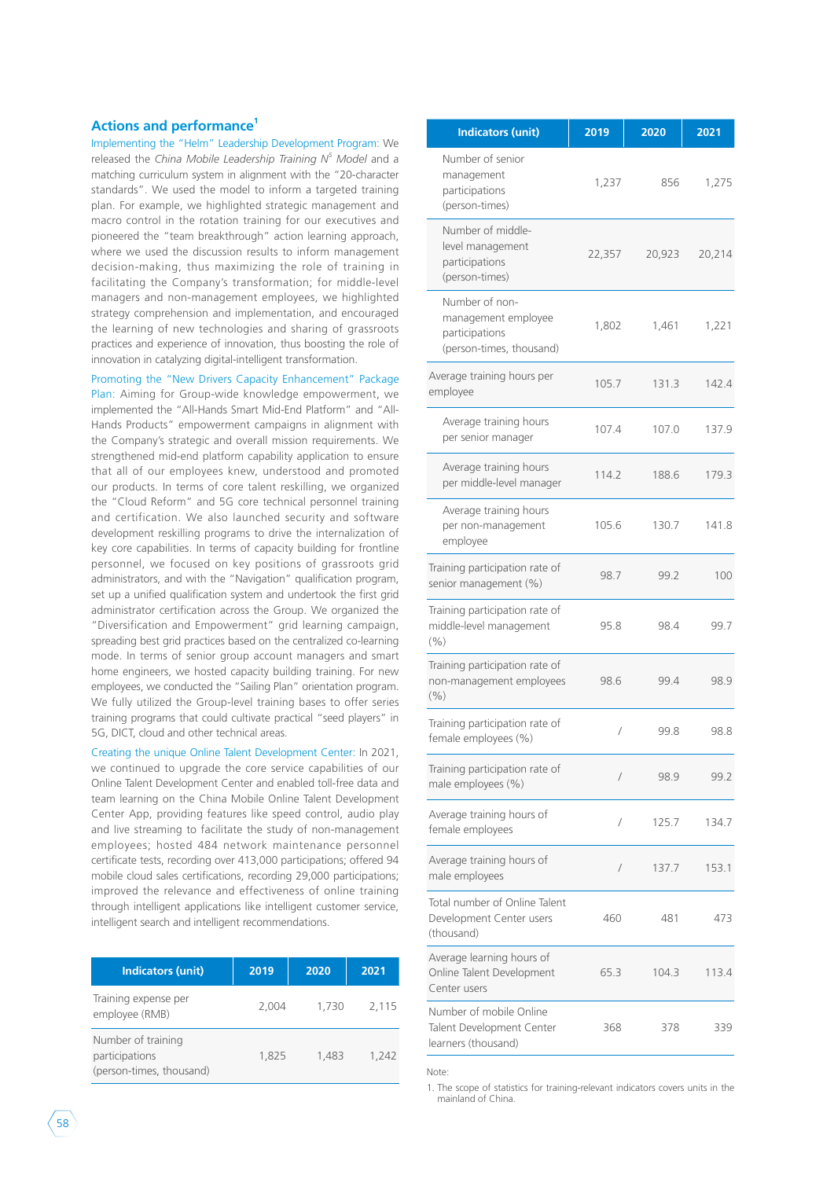### **Actions and performance1**

Implementing the "Helm" Leadership Development Program: We released the *China Mobile Leadership Training N<sup>5</sup> Model* and a matching curriculum system in alignment with the "20-character standards". We used the model to inform a targeted training plan. For example, we highlighted strategic management and macro control in the rotation training for our executives and pioneered the "team breakthrough" action learning approach, where we used the discussion results to inform management decision-making, thus maximizing the role of training in facilitating the Company's transformation; for middle-level managers and non-management employees, we highlighted strategy comprehension and implementation, and encouraged the learning of new technologies and sharing of grassroots practices and experience of innovation, thus boosting the role of innovation in catalyzing digital-intelligent transformation.

Promoting the "New Drivers Capacity Enhancement" Package Plan: Aiming for Group-wide knowledge empowerment, we implemented the "All-Hands Smart Mid-End Platform" and "All-Hands Products" empowerment campaigns in alignment with the Company's strategic and overall mission requirements. We strengthened mid-end platform capability application to ensure that all of our employees knew, understood and promoted our products. In terms of core talent reskilling, we organized the "Cloud Reform" and 5G core technical personnel training and certification. We also launched security and software development reskilling programs to drive the internalization of key core capabilities. In terms of capacity building for frontline personnel, we focused on key positions of grassroots grid administrators, and with the "Navigation" qualification program, set up a unified qualification system and undertook the first grid administrator certification across the Group. We organized the "Diversification and Empowerment" grid learning campaign, spreading best grid practices based on the centralized co-learning mode. In terms of senior group account managers and smart home engineers, we hosted capacity building training. For new employees, we conducted the "Sailing Plan" orientation program. We fully utilized the Group-level training bases to offer series training programs that could cultivate practical "seed players" in 5G, DICT, cloud and other technical areas.

Creating the unique Online Talent Development Center: In 2021, we continued to upgrade the core service capabilities of our Online Talent Development Center and enabled toll-free data and team learning on the China Mobile Online Talent Development Center App, providing features like speed control, audio play and live streaming to facilitate the study of non-management employees; hosted 484 network maintenance personnel certificate tests, recording over 413,000 participations; offered 94 mobile cloud sales certifications, recording 29,000 participations; improved the relevance and effectiveness of online training through intelligent applications like intelligent customer service, intelligent search and intelligent recommendations.

| <b>Indicators (unit)</b>                                         | 2019  | 2020  | 2021  |
|------------------------------------------------------------------|-------|-------|-------|
| Training expense per<br>employee (RMB)                           | 2.004 | 1,730 | 2,115 |
| Number of training<br>participations<br>(person-times, thousand) | 1,825 | 1.483 | 1.242 |

| <b>Indicators (unit)</b>                                                            | 2019       | 2020   | 2021   |
|-------------------------------------------------------------------------------------|------------|--------|--------|
| Number of senior<br>management<br>participations<br>(person-times)                  | 1,237      | 856    | 1,275  |
| Number of middle-<br>level management<br>participations<br>(person-times)           | 22,357     | 20,923 | 20,214 |
| Number of non-<br>management employee<br>participations<br>(person-times, thousand) | 1,802      | 1,461  | 1,221  |
| Average training hours per<br>employee                                              | 105.7      | 131.3  | 142.4  |
| Average training hours<br>per senior manager                                        | 107.4      | 107.0  | 137.9  |
| Average training hours<br>per middle-level manager                                  | 114.2      | 188.6  | 179.3  |
| Average training hours<br>per non-management<br>employee                            | 105.6      | 130.7  | 141.8  |
| Training participation rate of<br>senior management (%)                             | 98.7       | 99.2   | 100    |
| Training participation rate of<br>middle-level management<br>(9/6)                  | 95.8       | 98.4   | 99.7   |
| Training participation rate of<br>non-management employees<br>(9/6)                 | 98.6       | 99.4   | 98.9   |
| Training participation rate of<br>female employees (%)                              | /          | 99.8   | 98.8   |
| Training participation rate of<br>male employees (%)                                | $\sqrt{2}$ | 98.9   | 99.2   |
| Average training hours of<br>female employees                                       | $\sqrt{2}$ | 125.7  | 134.7  |
| Average training hours of<br>male employees                                         | $\sqrt{2}$ | 137.7  | 153.1  |
| Total number of Online Talent<br>Development Center users<br>(thousand)             | 460        | 481    | 473    |
| Average learning hours of<br>Online Talent Development<br>Center users              | 65.3       | 104.3  | 113.4  |
| Number of mobile Online<br>Talent Development Center<br>learners (thousand)         | 368        | 378    | 339    |

Note:

1. The scope of statistics for training-relevant indicators covers units in the mainland of China.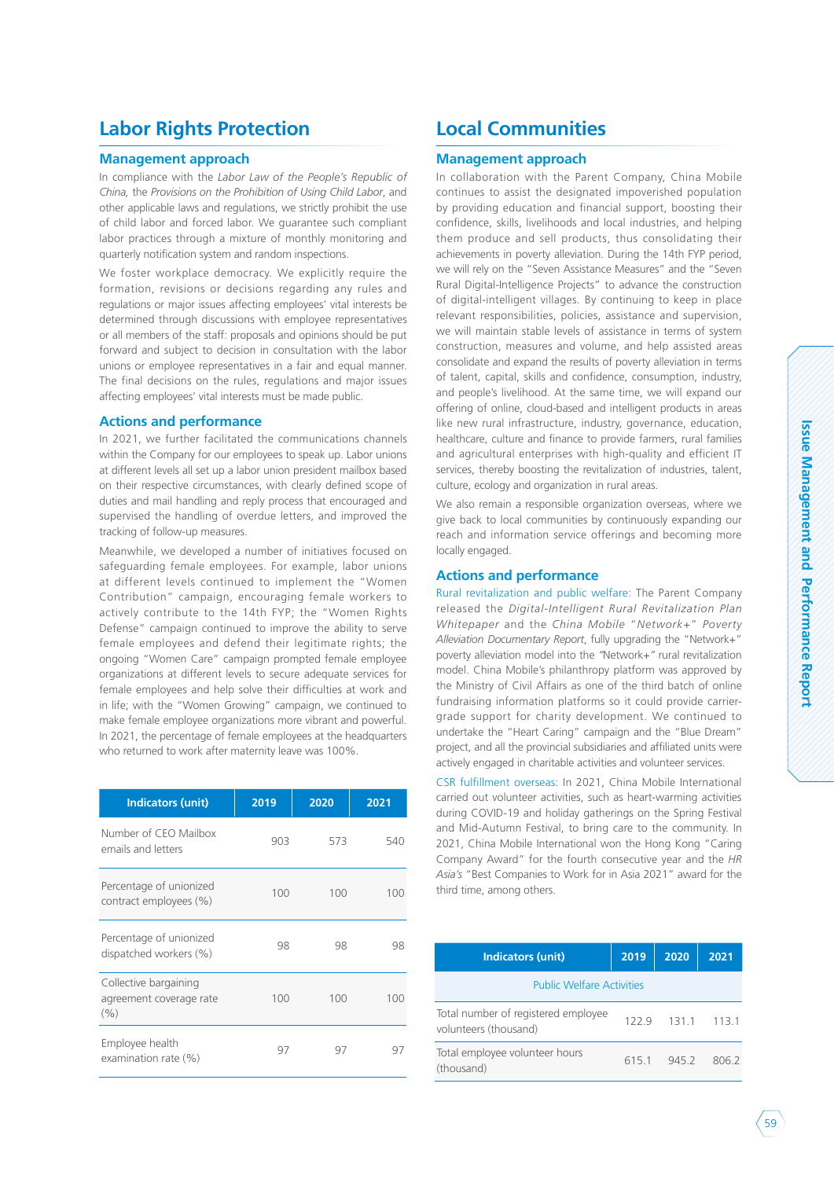## **Labor Rights Protection**

### **Management approach**

In compliance with the *Labor Law of the People's Republic of China,* the *Provisions on the Prohibition of Using Child Labor*, and other applicable laws and regulations, we strictly prohibit the use of child labor and forced labor. We guarantee such compliant labor practices through a mixture of monthly monitoring and quarterly notification system and random inspections.

We foster workplace democracy. We explicitly require the formation, revisions or decisions regarding any rules and regulations or major issues affecting employees' vital interests be determined through discussions with employee representatives or all members of the staff: proposals and opinions should be put forward and subject to decision in consultation with the labor unions or employee representatives in a fair and equal manner. The final decisions on the rules, regulations and major issues affecting employees' vital interests must be made public.

### **Actions and performance**

In 2021, we further facilitated the communications channels within the Company for our employees to speak up. Labor unions at different levels all set up a labor union president mailbox based on their respective circumstances, with clearly defined scope of duties and mail handling and reply process that encouraged and supervised the handling of overdue letters, and improved the tracking of follow-up measures.

Meanwhile, we developed a number of initiatives focused on safeguarding female employees. For example, labor unions at different levels continued to implement the "Women Contribution" campaign, encouraging female workers to actively contribute to the 14th FYP; the "Women Rights Defense" campaign continued to improve the ability to serve female employees and defend their legitimate rights; the ongoing "Women Care" campaign prompted female employee organizations at different levels to secure adequate services for female employees and help solve their difficulties at work and in life; with the "Women Growing" campaign, we continued to make female employee organizations more vibrant and powerful. In 2021, the percentage of female employees at the headquarters who returned to work after maternity leave was 100%.

| <b>Indicators (unit)</b>                                | 2019 | 2020 | 2021    |
|---------------------------------------------------------|------|------|---------|
| Number of CEO Mailbox<br>emails and letters             | 903  | 573  | 540     |
| Percentage of unionized<br>contract employees (%)       | 100  | 100  | 100     |
| Percentage of unionized<br>dispatched workers (%)       | 98   | 98   | 98      |
| Collective bargaining<br>agreement coverage rate<br>(%) | 100  | 100  | $100 -$ |
| Employee health<br>examination rate (%)                 | 97   | 97   | 97      |

### **Local Communities**

### **Management approach**

In collaboration with the Parent Company, China Mobile continues to assist the designated impoverished population by providing education and financial support, boosting their confidence, skills, livelihoods and local industries, and helping them produce and sell products, thus consolidating their achievements in poverty alleviation. During the 14th FYP period, we will rely on the "Seven Assistance Measures" and the "Seven Rural Digital-Intelligence Projects" to advance the construction of digital-intelligent villages. By continuing to keep in place relevant responsibilities, policies, assistance and supervision, we will maintain stable levels of assistance in terms of system construction, measures and volume, and help assisted areas consolidate and expand the results of poverty alleviation in terms of talent, capital, skills and confidence, consumption, industry, and people's livelihood. At the same time, we will expand our offering of online, cloud-based and intelligent products in areas like new rural infrastructure, industry, governance, education, healthcare, culture and finance to provide farmers, rural families and agricultural enterprises with high-quality and efficient IT services, thereby boosting the revitalization of industries, talent, culture, ecology and organization in rural areas.

We also remain a responsible organization overseas, where we give back to local communities by continuously expanding our reach and information service offerings and becoming more locally engaged.

### **Actions and performance**

Rural revitalization and public welfare: The Parent Company released the *Digital-Intelligent Rural Revitalization Plan Whitepaper* and the *China Mobile* "*Network+*" *Poverty Alleviation Documentary Report*, fully upgrading the "Network+" poverty alleviation model into the *"*Network+*"* rural revitalization model. China Mobile's philanthropy platform was approved by the Ministry of Civil Affairs as one of the third batch of online fundraising information platforms so it could provide carriergrade support for charity development. We continued to undertake the "Heart Caring" campaign and the "Blue Dream" project, and all the provincial subsidiaries and affiliated units were actively engaged in charitable activities and volunteer services.

CSR fulfillment overseas: In 2021, China Mobile International carried out volunteer activities, such as heart-warming activities during COVID-19 and holiday gatherings on the Spring Festival and Mid-Autumn Festival, to bring care to the community. In 2021, China Mobile International won the Hong Kong "Caring Company Award" for the fourth consecutive year and the *HR Asia's* "Best Companies to Work for in Asia 2021" award for the third time, among others.

| <b>Indicators (unit)</b>                                     | 2019 | 2020  | 2021  |
|--------------------------------------------------------------|------|-------|-------|
| <b>Public Welfare Activities</b>                             |      |       |       |
| Total number of registered employee<br>volunteers (thousand) | 1229 | 131.1 | 113.1 |
| Total employee volunteer hours<br>(thousand)                 | 6151 | 945.2 | 8062  |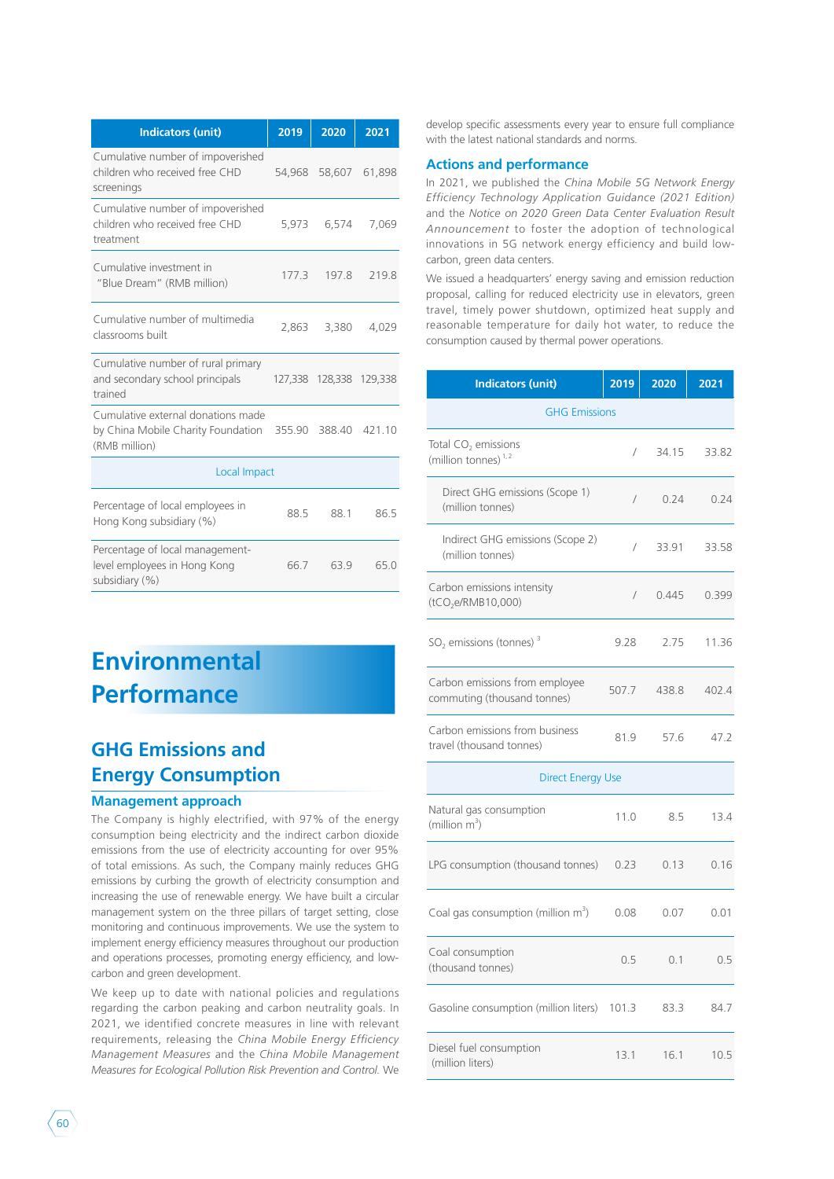| <b>Indicators (unit)</b>                                                                  | 2019   | 2020                    | 2021   |
|-------------------------------------------------------------------------------------------|--------|-------------------------|--------|
| Cumulative number of impoverished<br>children who received free CHD<br>screenings         | 54,968 | 58,607                  | 61,898 |
| Cumulative number of impoverished<br>children who received free CHD<br>treatment          | 5,973  | 6,574                   | 7,069  |
| Cumulative investment in<br>"Blue Dream" (RMB million)                                    | 177.3  | 197.8                   | 219.8  |
| Cumulative number of multimedia<br>classrooms built                                       | 2,863  | 3,380                   | 4,029  |
| Cumulative number of rural primary<br>and secondary school principals<br>trained          |        | 127,338 128,338 129,338 |        |
| Cumulative external donations made<br>by China Mobile Charity Foundation<br>(RMB million) | 355.90 | 388.40                  | 421.10 |
| Local Impact                                                                              |        |                         |        |
| Percentage of local employees in<br>Hong Kong subsidiary (%)                              | 88.5   | 88.1                    | 86.5   |
| Percentage of local management-<br>level employees in Hong Kong<br>subsidiary (%)         | 66.7   | 63.9                    | 65.0   |

## **Environmental Performance**

### **GHG Emissions and Energy Consumption**

#### **Management approach**

The Company is highly electrified, with 97% of the energy consumption being electricity and the indirect carbon dioxide emissions from the use of electricity accounting for over 95% of total emissions. As such, the Company mainly reduces GHG emissions by curbing the growth of electricity consumption and increasing the use of renewable energy. We have built a circular management system on the three pillars of target setting, close monitoring and continuous improvements. We use the system to implement energy efficiency measures throughout our production and operations processes, promoting energy efficiency, and lowcarbon and green development.

We keep up to date with national policies and regulations regarding the carbon peaking and carbon neutrality goals. In 2021, we identified concrete measures in line with relevant requirements, releasing the *China Mobile Energy Efficiency Management Measures* and the *China Mobile Management Measures for Ecological Pollution Risk Prevention and Control.* We

develop specific assessments every year to ensure full compliance with the latest national standards and norms.

#### **Actions and performance**

In 2021, we published the *China Mobile 5G Network Energy Efficiency Technology Application Guidance (2021 Edition)*  and the *Notice on 2020 Green Data Center Evaluation Result Announcement* to foster the adoption of technological innovations in 5G network energy efficiency and build lowcarbon, green data centers.

We issued a headquarters' energy saving and emission reduction proposal, calling for reduced electricity use in elevators, green travel, timely power shutdown, optimized heat supply and reasonable temperature for daily hot water, to reduce the consumption caused by thermal power operations.

| <b>Indicators (unit)</b>                                      | 2019       | 2020  | 2021  |  |  |
|---------------------------------------------------------------|------------|-------|-------|--|--|
| <b>GHG Emissions</b>                                          |            |       |       |  |  |
| Total CO <sub>2</sub> emissions<br>(million tonnes) $1,2$     | /          | 34.15 | 33.82 |  |  |
| Direct GHG emissions (Scope 1)<br>(million tonnes)            | $\sqrt{2}$ | 0.24  | 0.24  |  |  |
| Indirect GHG emissions (Scope 2)<br>(million tonnes)          | $\sqrt{2}$ | 33.91 | 33.58 |  |  |
| Carbon emissions intensity<br>(tCO <sub>2</sub> e/RMB10,000)  | $\sqrt{2}$ | 0.445 | 0.399 |  |  |
| $SO2$ emissions (tonnes) <sup>3</sup>                         | 9.28       | 2.75  | 11.36 |  |  |
| Carbon emissions from employee<br>commuting (thousand tonnes) | 507.7      | 438.8 | 402.4 |  |  |
| Carbon emissions from business<br>travel (thousand tonnes)    | 81.9       | 57.6  | 47.2  |  |  |
| <b>Direct Energy Use</b>                                      |            |       |       |  |  |
| Natural gas consumption<br>(million $m^3$ )                   | 11.0       | 8.5   | 13.4  |  |  |
| LPG consumption (thousand tonnes)                             | 0.23       | 0.13  | 0.16  |  |  |
| Coal gas consumption (million $m^3$ )                         | 0.08       | 0.07  | 0.01  |  |  |
| Coal consumption<br>(thousand tonnes)                         | 0.5        | 0.1   | 0.5   |  |  |
| Gasoline consumption (million liters)                         | 101.3      | 83.3  | 84.7  |  |  |
| Diesel fuel consumption<br>(million liters)                   | 13.1       | 16.1  | 10.5  |  |  |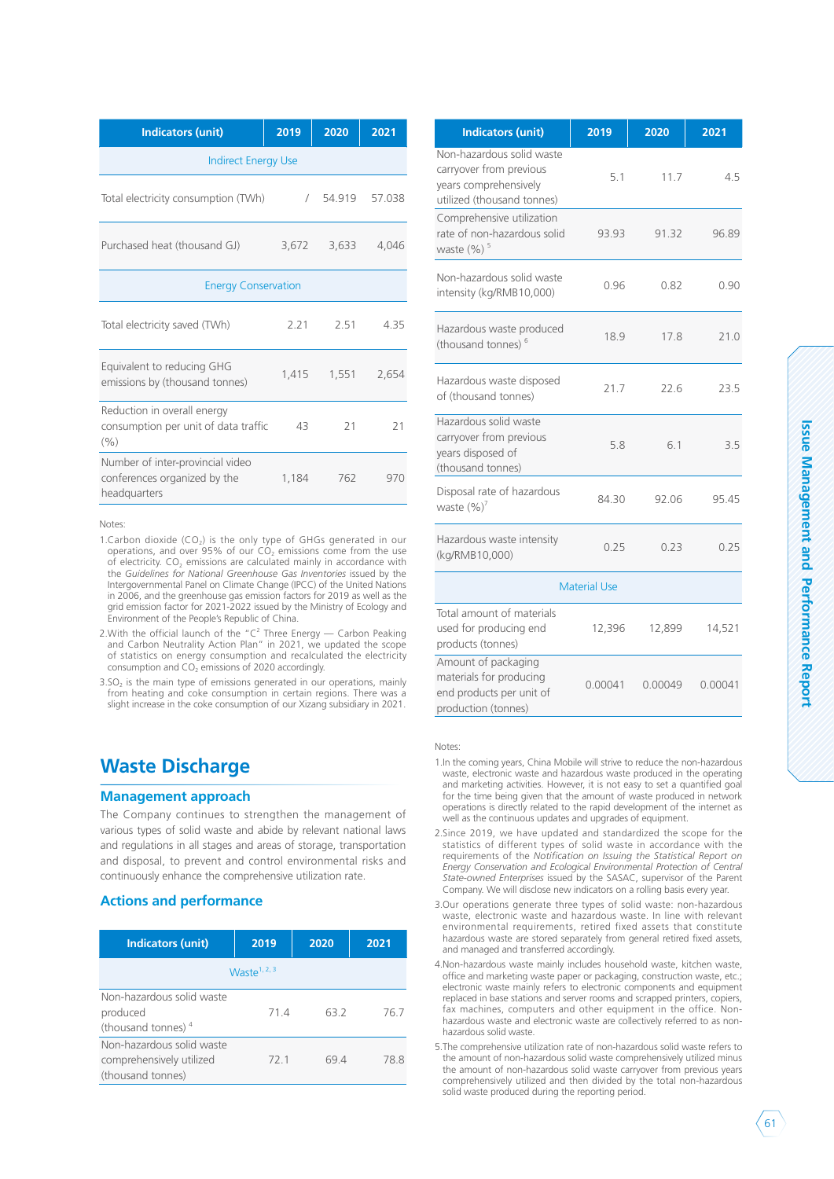| <b>Indicators (unit)</b>                                                         | 2019       | 2020   | 2021   |  |
|----------------------------------------------------------------------------------|------------|--------|--------|--|
| <b>Indirect Energy Use</b>                                                       |            |        |        |  |
| Total electricity consumption (TWh)                                              | $\sqrt{2}$ | 54.919 | 57.038 |  |
| Purchased heat (thousand GJ)                                                     | 3,672      | 3,633  | 4,046  |  |
| <b>Energy Conservation</b>                                                       |            |        |        |  |
| Total electricity saved (TWh)                                                    | 2.21       | 2.51   | 4.35   |  |
| Equivalent to reducing GHG<br>emissions by (thousand tonnes)                     | 1,415      | 1,551  | 2,654  |  |
| Reduction in overall energy<br>consumption per unit of data traffic<br>(9/0)     | 43         | 21     | 21     |  |
| Number of inter-provincial video<br>conferences organized by the<br>headquarters | 1,184      | 762    | 970    |  |

Notes:

- 1.Carbon dioxide  $(CO_2)$  is the only type of GHGs generated in our operations, and over 95% of our  $CO<sub>2</sub>$  emissions come from the use of electricity.  $CO<sub>2</sub>$  emissions are calculated mainly in accordance with the *Guidelines for National Greenhouse Gas Inventories* issued by the Intergovernmental Panel on Climate Change (IPCC) of the United Nations in 2006, and the greenhouse gas emission factors for 2019 as well as the grid emission factor for 2021-2022 issued by the Ministry of Ecology and Environment of the People's Republic of China.
- 2. With the official launch of the " $C^2$  Three Energy Carbon Peaking and Carbon Neutrality Action Plan" in 2021, we updated the scope of statistics on energy consumption and recalculated the electricity consumption and  $CO<sub>2</sub>$  emissions of 2020 accordingly.
- $3.5O<sub>2</sub>$  is the main type of emissions generated in our operations, mainly from heating and coke consumption in certain regions. There was a slight increase in the coke consumption of our Xizang subsidiary in 2021.

### **Waste Discharge**

#### **Management approach**

The Company continues to strengthen the management of various types of solid waste and abide by relevant national laws and regulations in all stages and areas of storage, transportation and disposal, to prevent and control environmental risks and continuously enhance the comprehensive utilization rate.

### **Actions and performance**

| <b>Indicators (unit)</b>       | 2019 | 2020 | 2021 |  |  |
|--------------------------------|------|------|------|--|--|
| Waste <sup>1, 2, 3</sup>       |      |      |      |  |  |
| Non-hazardous solid waste      |      |      |      |  |  |
| produced                       | 714  | 632  | 76 7 |  |  |
| (thousand tonnes) <sup>4</sup> |      |      |      |  |  |
| Non-hazardous solid waste      |      |      |      |  |  |
| comprehensively utilized       | 72 1 | 69 4 | 78 8 |  |  |
| (thousand tonnes)              |      |      |      |  |  |

| <b>Indicators (unit)</b>                                                                                    | 2019    | 2020    | 2021    |  |  |
|-------------------------------------------------------------------------------------------------------------|---------|---------|---------|--|--|
| Non-hazardous solid waste<br>carryover from previous<br>years comprehensively<br>utilized (thousand tonnes) | 5.1     | 11.7    | 4.5     |  |  |
| Comprehensive utilization<br>rate of non-hazardous solid<br>waste $(%)$ <sup>5</sup>                        | 93.93   | 91.32   | 96.89   |  |  |
| Non-hazardous solid waste<br>intensity (kg/RMB10,000)                                                       | 0.96    | 0.82    | 0.90    |  |  |
| Hazardous waste produced<br>(thousand tonnes) <sup>6</sup>                                                  | 18.9    | 17.8    | 21.0    |  |  |
| Hazardous waste disposed<br>of (thousand tonnes)                                                            | 21.7    | 22.6    | 23.5    |  |  |
| Hazardous solid waste<br>carryover from previous<br>years disposed of<br>(thousand tonnes)                  | 5.8     | 6.1     | 3.5     |  |  |
| Disposal rate of hazardous<br>waste $(\%)^7$                                                                | 84.30   | 92.06   | 95.45   |  |  |
| Hazardous waste intensity<br>(kg/RMB10,000)                                                                 | 0.25    | 0.23    | 0.25    |  |  |
| <b>Material Use</b>                                                                                         |         |         |         |  |  |
| Total amount of materials<br>used for producing end<br>products (tonnes)                                    | 12,396  | 12,899  | 14,521  |  |  |
| Amount of packaging<br>materials for producing<br>end products per unit of                                  | 0.00041 | 0.00049 | 0.00041 |  |  |

Notes:

production (tonnes)

- 1.In the coming years, China Mobile will strive to reduce the non-hazardous waste, electronic waste and hazardous waste produced in the operating and marketing activities. However, it is not easy to set a quantified goal for the time being given that the amount of waste produced in network operations is directly related to the rapid development of the internet as well as the continuous updates and upgrades of equipment.
- 2.Since 2019, we have updated and standardized the scope for the statistics of different types of solid waste in accordance with the requirements of the *Notification on Issuing the Statistical Report on Energy Conservation and Ecological Environmental Protection of Central State-owned Enterprises* issued by the SASAC, supervisor of the Parent Company. We will disclose new indicators on a rolling basis every year.
- 3.Our operations generate three types of solid waste: non-hazardous waste, electronic waste and hazardous waste. In line with relevant environmental requirements, retired fixed assets that constitute hazardous waste are stored separately from general retired fixed assets, and managed and transferred accordingly.
- 4.Non-hazardous waste mainly includes household waste, kitchen waste, office and marketing waste paper or packaging, construction waste, etc.; electronic waste mainly refers to electronic components and equipment replaced in base stations and server rooms and scrapped printers, copiers, fax machines, computers and other equipment in the office. Nonhazardous waste and electronic waste are collectively referred to as nonhazardous solid waste.
- 5.The comprehensive utilization rate of non-hazardous solid waste refers to the amount of non-hazardous solid waste comprehensively utilized minus the amount of non-hazardous solid waste carryover from previous years comprehensively utilized and then divided by the total non-hazardous solid waste produced during the reporting period.

**Issue Management and Performance Report**

Issue Management and Performance Report